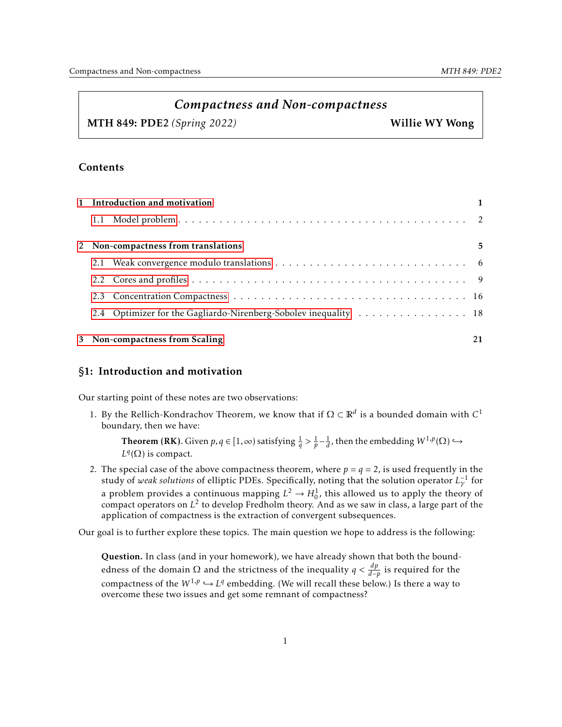# *Compactness and Non-compactness*

MTH 849: PDE2 *(Spring 2022)* Willie WY Wong

## Contents

| 1 Introduction and motivation       |                                                                 | $\mathbf{1}$ |
|-------------------------------------|-----------------------------------------------------------------|--------------|
|                                     |                                                                 |              |
| 2 Non-compactness from translations |                                                                 | 5            |
|                                     |                                                                 |              |
|                                     |                                                                 |              |
|                                     |                                                                 |              |
|                                     | 2.4 Optimizer for the Gagliardo-Nirenberg-Sobolev inequality 18 |              |
|                                     | 3 Non-compactness from Scaling                                  | 21           |

## <span id="page-0-0"></span>§1: Introduction and motivation

Our starting point of these notes are two observations:

1. By the Rellich-Kondrachov Theorem, we know that if  $\Omega \subset \mathbb{R}^d$  is a bounded domain with *C* boundary, then we have:

**Theorem (RK)**. Given *p*, *q* ∈ [1, ∞) satisfying  $\frac 1q > \frac 1p - \frac 1d$ , then the embedding *W*<sup>1,*p*</sup>(Ω) →  $L^q(\Omega)$  is compact.

2. The special case of the above compactness theorem, where  $p = q = 2$ , is used frequently in the study of *weak solutions* of elliptic PDEs. Specifically, noting that the solution operator *L*<sub>γ</sub><sup>1</sup> for a problem provides a continuous mapping  $L^2 \to H_0^1$ , this allowed us to apply the theory of compact operators on *L* 2 to develop Fredholm theory. And as we saw in class, a large part of the application of compactness is the extraction of convergent subsequences.

Our goal is to further explore these topics. The main question we hope to address is the following:

Question. In class (and in your homework), we have already shown that both the boundedness of the domain  $\Omega$  and the strictness of the inequality  $q < \frac{dp}{d-p}$  is required for the compactness of the  $W^{1,p} \hookrightarrow L^q$  embedding. (We will recall these below.) Is there a way to overcome these two issues and get some remnant of compactness?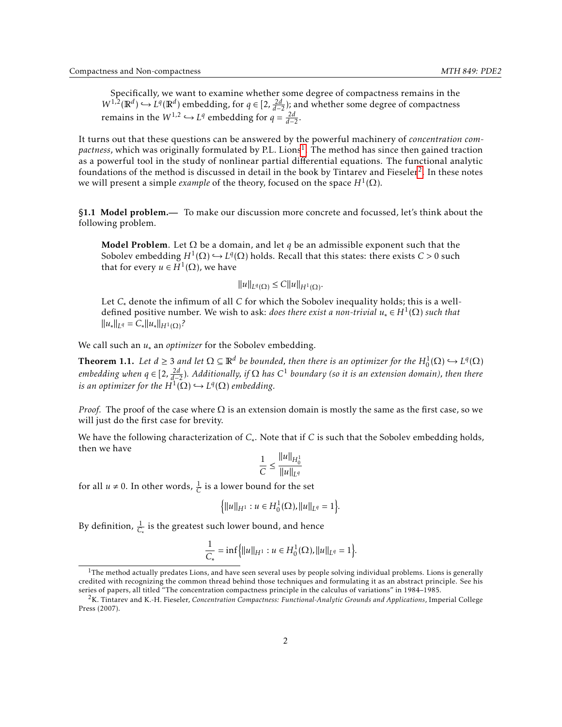Specifically, we want to examine whether some degree of compactness remains in the *W*<sup>1,2</sup>( $\mathbb{R}^d$ )  $\hookrightarrow$  *L*<sup>*q*</sup>( $\mathbb{R}^d$ ) embedding, for *q* ∈ [2,  $\frac{2d}{d-2}$ ); and whether some degree of compactness remains in the  $W^{1,2} \hookrightarrow L^q$  embedding for  $q = \frac{2d}{d-2}$ .

It turns out that these questions can be answered by the powerful machinery of *concentration com*p*actness,* which was originally formulated by P.L. Lions<sup>[1](#page-1-1)</sup>. The method has since then gained traction as a powerful tool in the study of nonlinear partial differential equations. The functional analytic foundations of the method is discussed in detail in the book by Tintarev and Fieseler $^2$  $^2$ . In these notes we will present a simple *example* of the theory, focused on the space  $H^1(\Omega)$ .

<span id="page-1-0"></span>§1.1 Model problem.— To make our discussion more concrete and focussed, let's think about the following problem.

Model Problem. Let  $\Omega$  be a domain, and let *q* be an admissible exponent such that the Sobolev embedding  $H^1(\Omega) \hookrightarrow L^q(\Omega)$  holds. Recall that this states: there exists  $C > 0$  such that for every  $u \in H^1(\Omega)$ , we have

$$
||u||_{L^{q}(\Omega)} \leq C||u||_{H^{1}(\Omega)}
$$

Let *C*∗ denote the infimum of all *C* for which the Sobolev inequality holds; this is a welldefined positive number. We wish to ask: *does there exist a non-trivial*  $u_* \in H^1(\Omega)$  *such that*  $\|u_*\|_{L^q} = C_* \|u_*\|_{H^1(\Omega )}$ ?

We call such an  $u_*$  an *optimizer* for the Sobolev embedding.

<span id="page-1-3"></span>**Theorem 1.1.** Let  $d \geq 3$  and let  $\Omega \subseteq \mathbb{R}^d$  be bounded, then there is an optimizer for the  $H_0^1(\Omega) \hookrightarrow L^q(\Omega)$ *embedding when q* ∈ [2*,* 2*d d*−2 )*. Additionally, if* Ω *has C* <sup>1</sup> *boundary (so it is an extension domain), then there is an optimizer for the*  $H^1(\Omega) \hookrightarrow L^q(\Omega)$  *embedding.* 

*Proof.* The proof of the case where  $\Omega$  is an extension domain is mostly the same as the first case, so we will just do the first case for brevity.

We have the following characterization of *C*∗ . Note that if *C* is such that the Sobolev embedding holds, then we have

$$
\frac{1}{C} \le \frac{\|u\|_{H_0^1}}{\|u\|_{L^q}}
$$

for all  $u \neq 0$ . In other words,  $\frac{1}{C}$  is a lower bound for the set

$$
\{||u||_{H^1} : u \in H_0^1(\Omega), ||u||_{L^q} = 1\}.
$$

By definition,  $\frac{1}{C_*}$  is the greatest such lower bound, and hence

$$
\frac{1}{C_*} = \inf \Big\{ ||u||_{H^1} : u \in H_0^1(\Omega), ||u||_{L^q} = 1 \Big\}.
$$

<span id="page-1-1"></span> $1$ The method actually predates Lions, and have seen several uses by people solving individual problems. Lions is generally credited with recognizing the common thread behind those techniques and formulating it as an abstract principle. See his series of papers, all titled "The concentration compactness principle in the calculus of variations" in 1984–1985.

<span id="page-1-2"></span><sup>2</sup>K. Tintarev and K.-H. Fieseler, *Concentration Compactness: Functional-Analytic Grounds and Applications*, Imperial College Press (2007).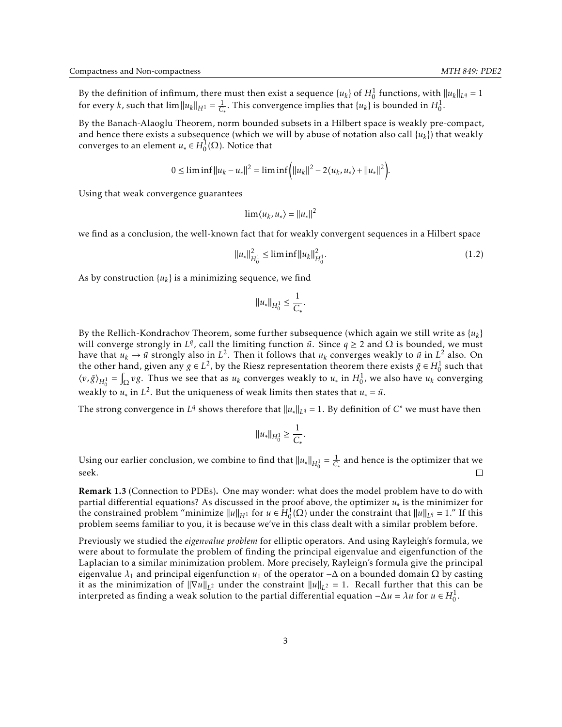By the definition of infimum, there must then exist a sequence  $\{u_k\}$  of  $H_0^1$  functions, with  $||u_k||_{L^q} = 1$ for every *k*, such that  $\lim ||u_k||_{H^1} = \frac{1}{C_*}$ . This convergence implies that  $\{u_k\}$  is bounded in  $H_0^1$ .

By the Banach-Alaoglu Theorem, norm bounded subsets in a Hilbert space is weakly pre-compact, and hence there exists a subsequence (which we will by abuse of notation also call  $\lbrace u_k \rbrace$ ) that weakly converges to an element  $u_* \in H_0^1(\Omega)$ . Notice that

$$
0 \le \liminf ||u_k - u_*||^2 = \liminf (||u_k||^2 - 2\langle u_k, u_* \rangle + ||u_*||^2).
$$

Using that weak convergence guarantees

$$
\lim \langle u_k, u_* \rangle = ||u_*||^2
$$

we find as a conclusion, the well-known fact that for weakly convergent sequences in a Hilbert space

$$
||u_*||_{H_0^1}^2 \le \liminf ||u_k||_{H_0^1}^2. \tag{1.2}
$$

As by construction  $\{u_k\}$  is a minimizing sequence, we find

$$
||u_*||_{H_0^1} \leq \frac{1}{C_*}.
$$

By the Rellich-Kondrachov Theorem, some further subsequence (which again we still write as  $\{u_k\}$ will converge strongly in  $L^q$ , call the limiting function  $\tilde{u}$ . Since  $q \geq 2$  and  $\Omega$  is bounded, we must have that  $u_k \to \tilde{u}$  strongly also in  $L^2$ . Then it follows that  $u_k$  converges weakly to  $\tilde{u}$  in  $L^2$  also. On the other hand, given any  $g \in L^2$ , by the Riesz representation theorem there exists  $\tilde{g} \in H_0^1$  such that  $\langle v, \tilde{g} \rangle_{H_0^1} = \int_{\Omega} v g$ . Thus we see that as  $u_k$  converges weakly to  $u_*$  in  $H_0^1$ , we also have  $u_k$  converging weakly to  $u_*$  in  $L^2$ . But the uniqueness of weak limits then states that  $u_* = \tilde{u}$ .

The strong convergence in  $L^q$  shows therefore that  $||u_*||_{L^q} = 1$ . By definition of  $C^*$  we must have then

$$
||u_*||_{H_0^1} \ge \frac{1}{C_*}.
$$

Using our earlier conclusion, we combine to find that  $||u_*||_{H_0^1} = \frac{1}{C_*}$  and hence is the optimizer that we seek. П

Remark 1.3 (Connection to PDEs). One may wonder: what does the model problem have to do with partial differential equations? As discussed in the proof above, the optimizer *u*∗ is the minimizer for the constrained problem "minimize  $||u||_{H^1}$  for  $u \in H_0^1(\Omega)$  under the constraint that  $||u||_{L^q} = 1$ ." If this problem seems familiar to you, it is because we've in this class dealt with a similar problem before.

Previously we studied the *eigenvalue problem* for elliptic operators. And using Rayleigh's formula, we were about to formulate the problem of finding the principal eigenvalue and eigenfunction of the Laplacian to a similar minimization problem. More precisely, Rayleign's formula give the principal eigenvalue  $λ_1$  and principal eigenfunction  $u_1$  of the operator −∆ on a bounded domain Ω by casting it as the minimization of  $||\nabla u||_{L^2}$  under the constraint  $||u||_{L^2} = 1$ . Recall further that this can be interpreted as finding a weak solution to the partial differential equation  $-\Delta u = \lambda u$  for  $u \in H_0^1$ .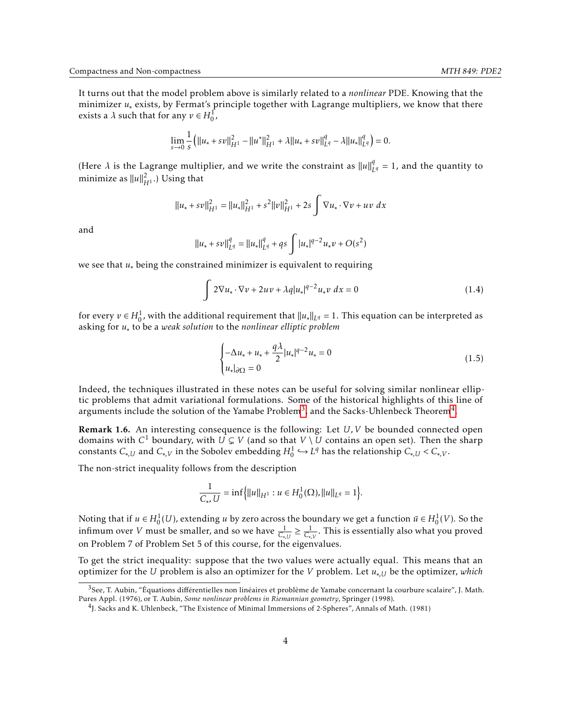It turns out that the model problem above is similarly related to a *nonlinear* PDE. Knowing that the minimizer *u*∗ exists, by Fermat's principle together with Lagrange multipliers, we know that there exists a  $\lambda$  such that for any  $v \in H_0^1$ ,

$$
\lim_{s \to 0} \frac{1}{s} (||u_{*} + sv||_{H^{1}}^{2} - ||u^{*}||_{H^{1}}^{2} + \lambda ||u_{*} + sv||_{L^{q}}^{q} - \lambda ||u_{*}||_{L^{q}}^{q}) = 0.
$$

(Here  $\lambda$  is the Lagrange multiplier, and we write the constraint as  $||u||_l^q$  $L_q$  = 1, and the quantity to minimize as  $||u||^2_{H^1}$ .) Using that

$$
||u_* + sv||_{H^1}^2 = ||u_*||_{H^1}^2 + s^2 ||v||_{H^1}^2 + 2s \int \nabla u_* \cdot \nabla v + uv \, dx
$$

and

$$
||u_* + sv||_{L^q}^q = ||u_*||_{L^q}^q + qs \int |u_*|^{q-2} u_* v + O(s^2)
$$

we see that *u*∗ being the constrained minimizer is equivalent to requiring

$$
\int 2\nabla u_* \cdot \nabla v + 2uv + \lambda q |u_*|^{q-2} u_* v \, dx = 0 \tag{1.4}
$$

for every  $v \in H_0^1$ , with the additional requirement that  $||u_*||_{L^q} = 1$ . This equation can be interpreted as asking for *u*∗ to be a *weak solution* to the *nonlinear elliptic problem*

<span id="page-3-2"></span>
$$
\begin{cases}\n-\Delta u_* + u_* + \frac{q\lambda}{2} |u_*|^{q-2} u_* = 0 \\
u_*|_{\partial\Omega} = 0\n\end{cases}
$$
\n(1.5)

Indeed, the techniques illustrated in these notes can be useful for solving similar nonlinear elliptic problems that admit variational formulations. Some of the historical highlights of this line of arguments include the solution of the Yamabe Problem $^3$  $^3$ , and the Sacks-Uhlenbeck Theorem $^4\!$  $^4\!$  $^4\!$ .

<span id="page-3-3"></span>Remark 1.6. An interesting consequence is the following: Let *U,V* be bounded connected open domains with  $C^1$  boundary, with  $U \subsetneq V$  (and so that  $V \setminus U$  contains an open set). Then the sharp constants  $C_{*,U}$  and  $C_{*,V}$  in the Sobolev embedding  $H_0^1 \hookrightarrow L^q$  has the relationship  $C_{*,U} < C_{*,V}$ .

The non-strict inequality follows from the description

$$
\frac{1}{C_*, U} = \inf \Big\{ ||u||_{H^1} : u \in H_0^1(\Omega), ||u||_{L^q} = 1 \Big\}.
$$

Noting that if  $u \in H_0^1(U)$ , extending *u* by zero across the boundary we get a function  $\bar{u} \in H_0^1(V)$ . So the infimum over *V* must be smaller, and so we have  $\frac{1}{C_{*,U}} \geq \frac{1}{C_{*,V}}$ . This is essentially also what you proved on Problem 7 of Problem Set 5 of this course, for the eigenvalues.

To get the strict inequality: suppose that the two values were actually equal. This means that an optimizer for the *U* problem is also an optimizer for the *V* problem. Let *u*∗*,U* be the optimizer, *which*

<span id="page-3-0"></span> $3$ See, T. Aubin, "Équations différentielles non linéaires et problème de Yamabe concernant la courbure scalaire", J. Math. Pures Appl. (1976), or T. Aubin, *Some nonlinear problems in Riemannian geometry*, Springer (1998).

<span id="page-3-1"></span><sup>4</sup> J. Sacks and K. Uhlenbeck, "The Existence of Minimal Immersions of 2-Spheres", Annals of Math. (1981)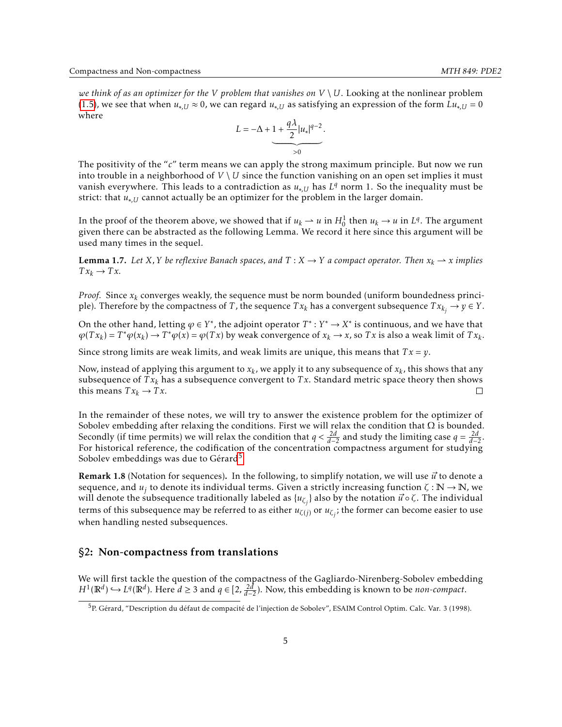*we think of as an optimizer for the V problem that vanishes on*  $V \setminus U$ *. Looking at the nonlinear problem* [\(1.5\)](#page-3-2), we see that when  $u_{*,U} \approx 0$ , we can regard  $u_{*,U}$  as satisfying an expression of the form  $Lu_{*,U} = 0$ where

$$
L = -\Delta + 1 + \frac{q\lambda}{2} |u_*|^{q-2}.
$$

The positivity of the "*c*" term means we can apply the strong maximum principle. But now we run into trouble in a neighborhood of  $V \setminus U$  since the function vanishing on an open set implies it must vanish everywhere. This leads to a contradiction as *u*∗*,U* has *L <sup>q</sup>* norm 1. So the inequality must be strict: that  $u_{*IJ}$  cannot actually be an optimizer for the problem in the larger domain.

In the proof of the theorem above, we showed that if  $u_k \to u$  in  $H_0^1$  then  $u_k \to u$  in  $L^q$ . The argument given there can be abstracted as the following Lemma. We record it here since this argument will be used many times in the sequel.

<span id="page-4-2"></span>**Lemma 1.7.** Let *X*, *Y* be reflexive Banach spaces, and  $T : X \rightarrow Y$  a compact operator. Then  $x_k \rightarrow x$  implies  $Tx_k \rightarrow Tx$ .

*Proof.* Since *x<sup>k</sup>* converges weakly, the sequence must be norm bounded (uniform boundedness principle). Therefore by the compactness of *T*, the sequence  $Tx_k$  has a convergent subsequence  $Tx_{k_j} \rightarrow y \in Y$ .

On the other hand, letting  $\varphi \in Y^*$ , the adjoint operator  $T^* : Y^* \to X^*$  is continuous, and we have that  $\varphi(Tx_k) = T^* \varphi(x_k) \to T^* \varphi(x) = \varphi(Tx)$  by weak convergence of  $x_k \to x$ , so Tx is also a weak limit of  $Tx_k$ .

Since strong limits are weak limits, and weak limits are unique, this means that *T x* = *y*.

Now, instead of applying this argument to  $x_k$ , we apply it to any subsequence of  $x_k$ , this shows that any subsequence of  $Tx_k$  has a subsequence convergent to  $Tx$ . Standard metric space theory then shows this means  $Tx_k \rightarrow Tx$ .  $\Box$ 

In the remainder of these notes, we will try to answer the existence problem for the optimizer of Sobolev embedding after relaxing the conditions. First we will relax the condition that  $\Omega$  is bounded. Secondly (if time permits) we will relax the condition that  $q < \frac{2d}{d-2}$  and study the limiting case  $q = \frac{2d}{d-2}$ . For historical reference, the codification of the concentration compactness argument for studying Sobolev embeddings was due to Gérard<sup>[5](#page-4-1)</sup>

**Remark 1.8** (Notation for sequences). In the following, to simplify notation, we will use  $\vec{u}$  to denote a sequence, and  $u_j$  to denote its individual terms. Given a strictly increasing function  $\zeta : \mathbb{N} \to \mathbb{N}$ , we will denote the subsequence traditionally labeled as  $\{u_{\zeta_j}\}$  also by the notation  $\vec{u} \circ \zeta$ . The individual terms of this subsequence may be referred to as either *uζ*(*j*) or *uζ<sup>j</sup>* ; the former can become easier to use when handling nested subsequences.

#### <span id="page-4-0"></span>§2: Non-compactness from translations

We will first tackle the question of the compactness of the Gagliardo-Nirenberg-Sobolev embedding *H*<sup>1</sup>( $\mathbb{R}^d$ ) → *L*<sup>*q*</sup>( $\mathbb{R}^d$ ). Here *d* ≥ 3 and *q* ∈ [2,  $\frac{2d}{d-2}$ ). Now, this embedding is known to be *non-compact*.

<span id="page-4-1"></span><sup>5</sup>P. Gérard, "Description du défaut de compacité de l'injection de Sobolev", ESAIM Control Optim. Calc. Var. 3 (1998).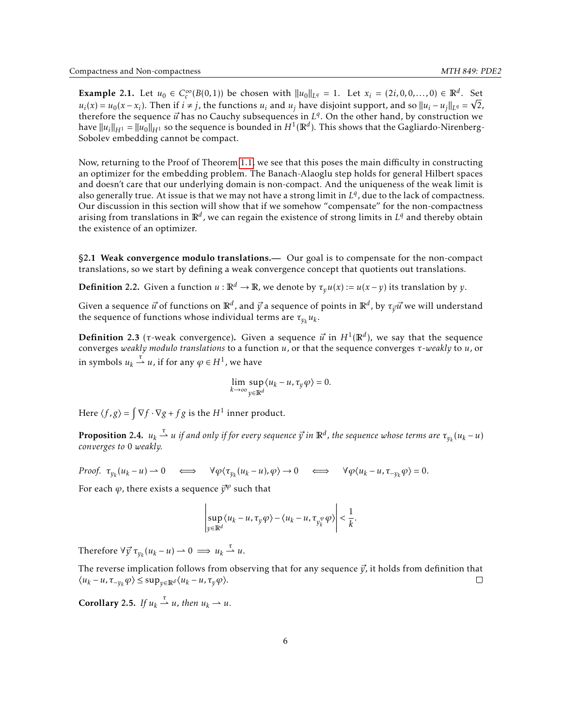<span id="page-5-1"></span>Example 2.1. Let  $u_0 \in C_c^{\infty}$  $c^{\infty}(B(0,1))$  be chosen with  $||u_0||_{L^q} = 1$ . Let  $x_i = (2i,0,0,...,0) \in \mathbb{R}^d$ . Set  $u_i(x) = u_0(x - x_i)$ . Then if  $i \neq j$ , the functions  $u_i$  and  $u_j$  have disjoint support, and so  $||u_i - u_j||_{L^q} = \sqrt{2}$ , therefore the sequence  $\vec{u}$  has no Cauchy subsequences in  $L^q$ . On the other hand, by construction we have  $\|u_i\|_{H^1}=\|u_0\|_{H^1}$  so the sequence is bounded in  $H^1(\mathbb{R}^d).$  This shows that the Gagliardo-Nirenberg-Sobolev embedding cannot be compact.

Now, returning to the Proof of Theorem [1.1,](#page-1-3) we see that this poses the main difficulty in constructing an optimizer for the embedding problem. The Banach-Alaoglu step holds for general Hilbert spaces and doesn't care that our underlying domain is non-compact. And the uniqueness of the weak limit is also generally true. At issue is that we may not have a strong limit in  $L<sup>q</sup>$ , due to the lack of compactness. Our discussion in this section will show that if we somehow "compensate" for the non-compactness arising from translations in  $\mathbb{R}^d$  , we can regain the existence of strong limits in  $L^q$  and thereby obtain the existence of an optimizer.

<span id="page-5-0"></span>§2.1 Weak convergence modulo translations.— Our goal is to compensate for the non-compact translations, so we start by defining a weak convergence concept that quotients out translations.

**Definition 2.2.** Given a function  $u : \mathbb{R}^d \to \mathbb{R}$ , we denote by  $\tau_v u(x) := u(x - y)$  its translation by *y*.

Given a sequence  $\vec{u}$  of functions on  $\mathbb{R}^d$ , and  $\vec{y}$  a sequence of points in  $\mathbb{R}^d$ , by  $\tau_{\vec{y}}\vec{u}$  we will understand the sequence of functions whose individual terms are  $\tau_{y_k} u_k$ .

**Definition** 2.3 ( $\tau$ -weak convergence). Given a sequence  $\vec{u}$  in  $H^1(\mathbb{R}^d)$ , we say that the sequence converges *weakly modulo translations* to a function *u*, or that the sequence converges *τ-weakly* to *u*, or in symbols  $u_k \stackrel{\tau}{\rightharpoonup} u$ , if for any  $\varphi \in H^1$ , we have

$$
\lim_{k \to \infty} \sup_{y \in \mathbb{R}^d} \langle u_k - u, \tau_y \varphi \rangle = 0.
$$

Here  $\langle f, g \rangle = \int \nabla f \cdot \nabla g + fg$  is the  $H^1$  inner product.

<span id="page-5-3"></span>**Proposition** 2.4.  $u_k \stackrel{\tau}{\rightharpoonup} u$  if and only if for every sequence  $\vec{y}$  in  $\mathbb{R}^d$ , the sequence whose terms are  $\tau_{y_k}(u_k-u)$ *converges to* 0 *weakly.*

Proof. 
$$
\tau_{y_k}(u_k - u) \to 0 \iff \forall \varphi \langle \tau_{y_k}(u_k - u), \varphi \rangle \to 0 \iff \forall \varphi \langle u_k - u, \tau_{-y_k} \varphi \rangle = 0.
$$

For each  $\varphi$ , there exists a sequence  $\vec{y}^{\varphi}$  such that

$$
\left|\sup_{y\in\mathbb{R}^d}\langle u_k-u,\tau_y\varphi\rangle-\langle u_k-u,\tau_{y_k^{\varphi}}\varphi\rangle\right|<\frac{1}{k}.
$$

Therefore  $\forall \vec{y} \ \tau_{y_k}(u_k - u) \to 0 \implies u_k \stackrel{\tau}{\rightharpoonup} u.$ 

The reverse implication follows from observing that for any sequence  $\vec{v}$ , it holds from definition that  $\langle u_k - u, \tau_{-\gamma_k} \varphi \rangle \le \sup_{y \in \mathbb{R}^d} \langle u_k - u, \tau_y \varphi \rangle.$  $\Box$ 

<span id="page-5-2"></span>**Corollary** 2.5. *If*  $u_k \stackrel{\tau}{\rightharpoonup} u$ , then  $u_k \rightharpoonup u$ .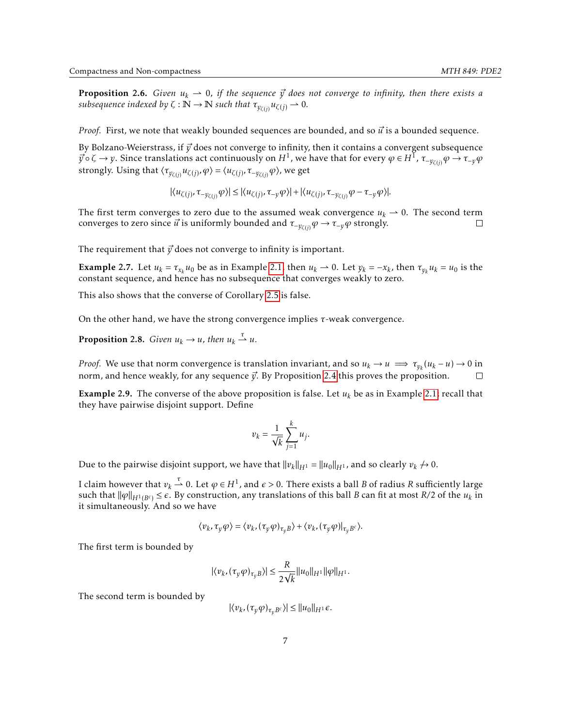**Proposition 2.6.** *Given*  $u_k \rightharpoonup 0$ *, if the sequence*  $\vec{y}$  *does not converge to infinity, then there exists a subsequence indexed by*  $\zeta : \mathbb{N} \to \mathbb{N}$  *such that*  $\tau_{y_{\zeta(j)}} u_{\zeta(j)} \to 0$ .

*Proof.* First, we note that weakly bounded sequences are bounded, and so  $\vec{u}$  is a bounded sequence.

By Bolzano-Weierstrass, if  $\vec{v}$  does not converge to infinity, then it contains a convergent subsequence  $\vec{y}$  ∘ ζ →  $y$ . Since translations act continuously on  $H^1$ , we have that for every  $\varphi \in H^{\bar 1}$ ,  $\tau_{-y_{\zeta(j)}}\varphi \to \tau_{-y}\varphi$ strongly. Using that  $\langle \tau_{y_{\zeta(j)}} u_{\zeta(j)}, \varphi \rangle = \langle u_{\zeta(j)}, \tau_{-y_{\zeta(j)}} \varphi \rangle$ , we get

 $|\langle u_{\zeta (j)}, \tau _{-y_{\zeta (i)}}\varphi \rangle | \leq |\langle u_{\zeta (j)}, \tau _{-y} \varphi \rangle | + |\langle u_{\zeta (j)}, \tau _{-y_{\zeta (i)}}\varphi - \tau _{-y}\varphi \rangle|.$ 

The first term converges to zero due to the assumed weak convergence  $u_k \to 0$ . The second term converges to zero since  $\vec{u}$  is uniformly bounded and  $\tau_{-y_{\zeta(j)}}\varphi \to \tau_{-y}\varphi$  strongly. П

The requirement that  $\vec{y}$  does not converge to infinity is important.

**Example 2.7.** Let  $u_k = \tau_{x_k} u_0$  be as in Example [2.1,](#page-5-1) then  $u_k \rightharpoonup 0$ . Let  $y_k = -x_k$ , then  $\tau_{y_k} u_k = u_0$  is the constant sequence, and hence has no subsequence that converges weakly to zero.

This also shows that the converse of Corollary [2.5](#page-5-2) is false.

On the other hand, we have the strong convergence implies *τ*-weak convergence.

**Proposition 2.8.** *Given*  $u_k \to u$ *, then*  $u_k \stackrel{\tau}{\rightharpoonup} u$ *.* 

*Proof.* We use that norm convergence is translation invariant, and so  $u_k \to u \implies \tau_{y_k}(u_k - u) \to 0$  in norm, and hence weakly, for any sequence  $\vec{y}$ . By Proposition [2.4](#page-5-3) this proves the proposition.  $\Box$ 

**Example 2.9.** The converse of the above proposition is false. Let  $u_k$  be as in Example [2.1;](#page-5-1) recall that they have pairwise disjoint support. Define

$$
v_k = \frac{1}{\sqrt{k}} \sum_{j=1}^k u_j.
$$

Due to the pairwise disjoint support, we have that  $||v_k||_{H^1} = ||u_0||_{H^1}$ , and so clearly  $v_k \nrightarrow 0$ .

I claim however that  $v_k\stackrel{\tau}{\rightharpoonup} 0.$  Let  $\varphi\in H^1$ , and  $\epsilon>0.$  There exists a ball  $B$  of radius  $R$  sufficiently large such that  $\|\varphi\|_{H^1(B^c)} \leq \epsilon$ . By construction, any translations of this ball *B* can fit at most *R*/2 of the  $u_k$  in it simultaneously. And so we have

$$
\langle v_k, \tau_{\gamma} \varphi \rangle = \langle v_k, (\tau_{\gamma} \varphi)_{\tau_{\nu} B} \rangle + \langle v_k, (\tau_{\gamma} \varphi) |_{\tau_{\nu} B^c} \rangle.
$$

The first term is bounded by

$$
|\langle v_k, (\tau_y \varphi)_{\tau_y B} \rangle| \leq \frac{R}{2\sqrt{k}} ||u_0||_{H^1} ||\varphi||_{H^1}.
$$

The second term is bounded by

$$
|\langle v_k, (\tau_y \varphi)_{\tau_v B^c} \rangle| \le ||u_0||_{H^1} \epsilon.
$$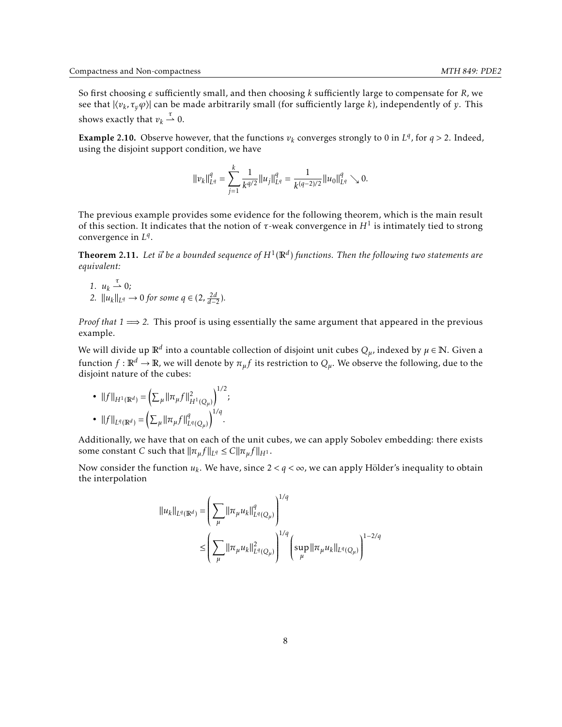So first choosing  $\epsilon$  sufficiently small, and then choosing *k* sufficiently large to compensate for *R*, we see that  $|\langle v_k, \tau_y \varphi \rangle|$  can be made arbitrarily small (for sufficiently large *k*), independently of *y*. This shows exactly that  $v_k \stackrel{\tau}{\rightharpoonup} 0$ .

**Example 2.10.** Observe however, that the functions  $v_k$  converges strongly to 0 in  $L^q$ , for  $q > 2$ . Indeed, using the disjoint support condition, we have

$$
||v_k||_{L^q}^q = \sum_{j=1}^k \frac{1}{k^{q/2}} ||u_j||_{L^q}^q = \frac{1}{k^{(q-2)/2}} ||u_0||_{L^q}^q \searrow 0.
$$

The previous example provides some evidence for the following theorem, which is the main result of this section. It indicates that the notion of *τ*-weak convergence in *H*<sup>1</sup> is intimately tied to strong convergence in *L q* .

<span id="page-7-0"></span>**Theorem 2.11.** Let  $\vec{u}$  be a bounded sequence of  $H^1(\mathbb{R}^d)$  functions. Then the following two statements are *equivalent:*

*1.*  $u_k \stackrel{\tau}{\rightharpoonup} 0$ ; *2.*  $||u_k||_{L^q}$  → 0 *for some*  $q \in (2, \frac{2d}{d-2})$ *.* 

*Proof that 1*  $\implies$  2. This proof is using essentially the same argument that appeared in the previous example.

We will divide up  $\mathbb{R}^d$  into a countable collection of disjoint unit cubes  $Q_\mu$ , indexed by  $\mu\in\mathbb{N}.$  Given a function  $f : \mathbb{R}^d \to \mathbb{R}$ , we will denote by  $\pi_\mu f$  its restriction to  $Q_\mu$ . We observe the following, due to the disjoint nature of the cubes:

 $1/2$ 

• 
$$
||f||_{H^1(\mathbb{R}^d)} = \left(\sum_{\mu} ||\pi_{\mu}f||^2_{H^1(Q_{\mu})}\right)^{1/2};
$$
  
•  $||f||_{L^q(\mathbb{R}^d)} = \left(\sum_{\mu} ||\pi_{\mu}f||^q_{L^q(Q_{\mu})}\right)^{1/q}.$ 

Additionally, we have that on each of the unit cubes, we can apply Sobolev embedding: there exists some constant *C* such that  $\|\pi_{\mu}f\|_{L^{q}} \leq C \|\pi_{\mu}f\|_{H^{1}}$ .

Now consider the function  $u_k$ . We have, since  $2 < q < \infty$ , we can apply Hölder's inequality to obtain the interpolation

$$
\|u_k\|_{L^q(\mathbb{R}^d)} = \left(\sum_{\mu} \|\pi_{\mu}u_k\|_{L^q(Q_{\mu})}^q\right)^{1/q}
$$
  

$$
\leq \left(\sum_{\mu} \|\pi_{\mu}u_k\|_{L^q(Q_{\mu})}^2\right)^{1/q} \left(\sup_{\mu} \|\pi_{\mu}u_k\|_{L^q(Q_{\mu})}\right)^{1-2/q}
$$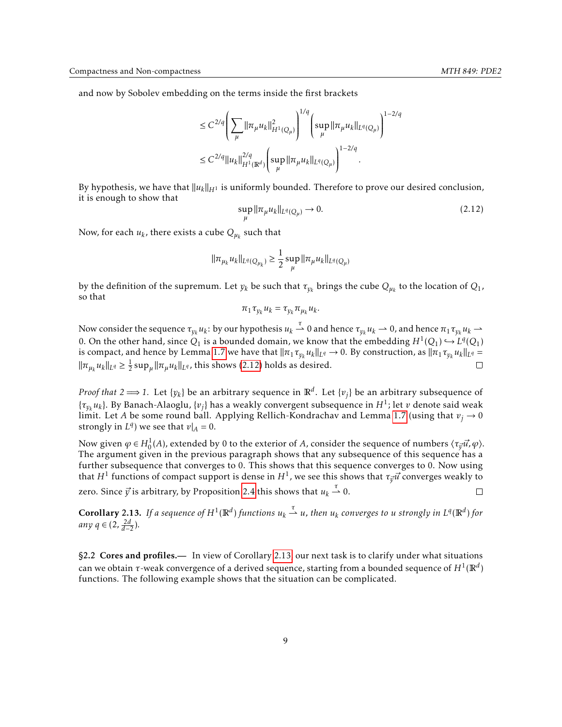and now by Sobolev embedding on the terms inside the first brackets

$$
\leq C^{2/q} \left( \sum_{\mu} \|\pi_{\mu} u_k\|_{H^1(Q_{\mu})}^2 \right)^{1/q} \left( \sup_{\mu} \|\pi_{\mu} u_k\|_{L^q(Q_{\mu})} \right)^{1-2/q} \\ \leq C^{2/q} \|u_k\|_{H^1(\mathbb{R}^d)}^{2/q} \left( \sup_{\mu} \|\pi_{\mu} u_k\|_{L^q(Q_{\mu})} \right)^{1-2/q}.
$$

By hypothesis, we have that <sup>∥</sup>*uk*∥*H*<sup>1</sup> is uniformly bounded. Therefore to prove our desired conclusion, it is enough to show that

<span id="page-8-1"></span>
$$
\sup_{u} ||\pi_{\mu} u_{k}||_{L^{q}(Q_{\mu})} \to 0. \tag{2.12}
$$

Now, for each  $u_k$ , there exists a cube  $Q_{\mu_k}$  such that

$$
\|\pi_{\mu_k} u_k\|_{L^q(Q_{\mu_k})} \ge \frac{1}{2} \sup_{\mu} \|\pi_{\mu} u_k\|_{L^q(Q_{\mu})}
$$

by the definition of the supremum. Let  $y_k$  be such that  $\tau_{y_k}$  brings the cube  $Q_{\mu_k}$  to the location of  $Q_1$ , so that

$$
\pi_1 \tau_{y_k} u_k = \tau_{y_k} \pi_{\mu_k} u_k.
$$

Now consider the sequence  $\tau_{y_k}u_k$ : by our hypothesis  $u_k\stackrel{\tau}{\rightharpoonup} 0$  and hence  $\tau_{y_k}u_k\rightharpoonup 0$ , and hence  $\pi_1\tau_{y_k}u_k\rightharpoonup 0$ 0. On the other hand, since  $Q_1$  is a bounded domain, we know that the embedding  $H^1(Q_1) \hookrightarrow L^q(Q_1)$ is compact, and hence by Lemma [1.7](#page-4-2) we have that  $\|\pi_1\tau_{y_k}u_k\|_{L^q}\to 0$ . By construction, as  $\|\pi_1\tau_{y_k}u_k\|_{L^q} =$  $\|\pi_{\mu_k} u_k\|_{L^q} \ge \frac{1}{2} \sup_{\mu} \|\pi_{\mu} u_k\|_{L^q}$ , this shows [\(2.12\)](#page-8-1) holds as desired. П

*Proof that 2*  $\Longrightarrow$  *1*. Let  $\{y_k\}$  be an arbitrary sequence in  $\mathbb{R}^d$ . Let  $\{v_j\}$  be an arbitrary subsequence of  $\{\tau_{y_k} u_k\}$ . By Banach-Alaoglu,  $\{v_j\}$  has a weakly convergent subsequence in  $H^1$ ; let  $v$  denote said weak limit. Let *A* be some round ball. Applying Rellich-Kondrachav and Lemma [1.7](#page-4-2) (using that  $v_j \rightarrow 0$ strongly in  $L^q$ ) we see that  $v|_A = 0$ .

Now given  $\varphi \in H_0^1(A)$ , extended by 0 to the exterior of *A*, consider the sequence of numbers  $\langle \tau_{\vec{y}} \vec{u}, \varphi \rangle$ . The argument given in the previous paragraph shows that any subsequence of this sequence has a further subsequence that converges to 0. This shows that this sequence converges to 0. Now using that  $H^1$  functions of compact support is dense in  $H^1$ , we see this shows that  $\tau_{\vec y} \vec u$  converges weakly to zero. Since  $\vec{y}$  is arbitrary, by Proposition [2.4](#page-5-3) this shows that  $u_k \overset{\tau}{\rightharpoonup} 0$ .  $\Box$ 

<span id="page-8-2"></span>**Corollary 2.13.** If a sequence of  $H^1(\mathbb{R}^d)$  functions  $u_k \stackrel{\tau}{\rightharpoonup} u$ , then  $u_k$  converges to u strongly in  $L^q(\mathbb{R}^d)$  for *any q* ∈ (2,  $\frac{2d}{d-2}$ ).

<span id="page-8-0"></span>§2.2 Cores and profiles.— In view of Corollary [2.13,](#page-8-2) our next task is to clarify under what situations can we obtain *τ*-weak convergence of a derived sequence, starting from a bounded sequence of  $H^1(\mathbb{R}^d)$ functions. The following example shows that the situation can be complicated.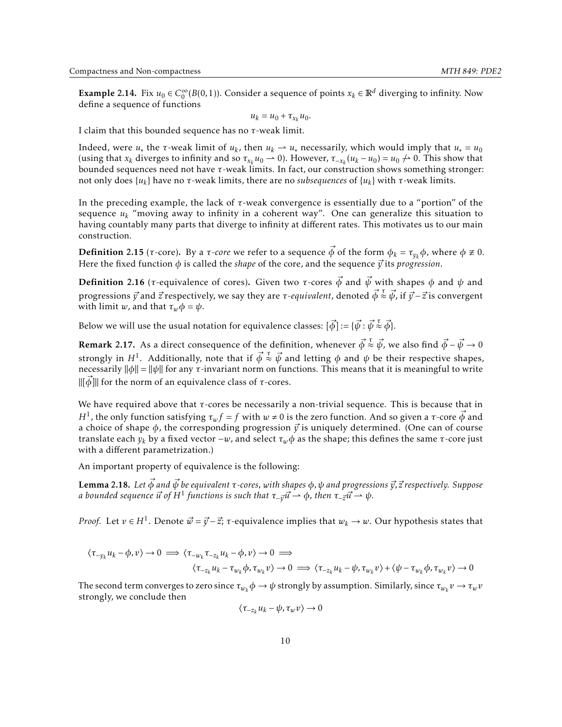<span id="page-9-0"></span>Example 2.14. Fix  $u_0 \in C_0^{\infty}$  $_{0}^{\infty}(B(0,1)).$  Consider a sequence of points  $x_k \in \mathbb{R}^d$  diverging to infinity. Now define a sequence of functions

$$
u_k = u_0 + \tau_{x_k} u_0.
$$

I claim that this bounded sequence has no *τ*-weak limit.

Indeed, were *u*<sub>\*</sub> the *τ*-weak limit of *u*<sub>*k*</sub>, then *u*<sub>*k*</sub>  $\rightarrow$  *u*<sub>\*</sub> necessarily, which would imply that *u*<sub>\*</sub> = *u*<sub>0</sub> (using that  $x_k$  diverges to infinity and so  $\tau_{x_k} u_0 \to 0$ ). However,  $\tau_{-x_k}(u_k - u_0) = u_0 \to 0$ . This show that bounded sequences need not have *τ*-weak limits. In fact, our construction shows something stronger: not only does  $\{u_k\}$  have no *τ*-weak limits, there are no *subsequences* of  $\{u_k\}$  with *τ*-weak limits.

In the preceding example, the lack of *τ*-weak convergence is essentially due to a "portion" of the sequence  $u_k$  "moving away to infinity in a coherent way". One can generalize this situation to having countably many parts that diverge to infinity at different rates. This motivates us to our main construction.

**Definition** 2.15 ( $\tau$ -core). By a  $\tau$ -core we refer to a sequence  $\vec{\phi}$  of the form  $\phi_k = \tau_{y_k} \phi$ , where  $\phi \neq 0$ . Here the fixed function  $\phi$  is called the *shape* of the core, and the sequence  $\vec{y}$  its *progression*.

**Definition** 2.16 (*τ*-equivalence of cores). Given two *τ*-cores  $\vec{\phi}$  and  $\vec{\psi}$  with shapes  $\phi$  and  $\psi$  and progressions *⃗y* and *⃗z* respectively, we say they are *τ-equivalent*, denoted *φ⃗ τ* ≈ *ψ⃗*, if *⃗y* −*⃗z* is convergent with limit *w*, and that  $\tau_w \phi = \psi$ .

Below we will use the usual notation for equivalence classes:  $[\vec{\phi}]$  :=  $\{\vec{\psi}:\vec{\psi}\stackrel{\tau}{\approx}\vec{\phi}\}$ .

<span id="page-9-2"></span>**Remark** 2.17. As a direct consequence of the definition, whenever  $\vec{\phi} \stackrel{\tau}{\approx} \vec{\psi}$ , we also find  $\vec{\phi} - \vec{\psi} \to 0$ strongly in  $H^1$ . Additionally, note that if  $\vec{\phi} \stackrel{\tau}{\approx} \vec{\psi}$  and letting  $\phi$  and  $\psi$  be their respective shapes, necessarily ∥*φ*∥ = ∥*ψ*∥ for any *τ*-invariant norm on functions. This means that it is meaningful to write ∥[*φ⃗*]∥ for the norm of an equivalence class of *τ*-cores.

We have required above that *τ*-cores be necessarily a non-trivial sequence. This is because that in *H*<sup>1</sup>, the only function satisfying  $\tau_w f = f$  with  $w \neq 0$  is the zero function. And so given a *τ*-core  $\vec{\phi}$  and a choice of shape  $\phi$ , the corresponding progression  $\vec{y}$  is uniquely determined. (One can of course translate each *y<sup>k</sup>* by a fixed vector −*w*, and select *τwφ* as the shape; this defines the same *τ*-core just with a different parametrization.)

An important property of equivalence is the following:

<span id="page-9-1"></span>Lemma 2.18. *Let φ⃗ and ψ⃗ be equivalent τ-cores, with shapes φ,ψ and progressions ⃗y,⃗z respectively. Suppose*  $a$  bounded sequence  $\vec{u}$  of  $H^1$  functions is such that  $\tau_{-\vec{y}}\vec{u}\rightharpoonup\phi$ , then  $\tau_{-\vec{z}}\vec{u}\rightharpoonup\psi$ .

*Proof.* Let  $v \in H^1$ . Denote  $\vec{w} = \vec{y} - \vec{z}$ ;  $\tau$ -equivalence implies that  $w_k \to w$ . Our hypothesis states that

$$
\langle \tau_{-y_k} u_k - \phi, v \rangle \to 0 \implies \langle \tau_{-w_k} \tau_{-z_k} u_k - \phi, v \rangle \to 0 \implies
$$

$$
\langle \tau_{-z_k} u_k - \tau_{w_k} \phi, \tau_{w_k} v \rangle \to 0 \implies \langle \tau_{-z_k} u_k - \psi, \tau_{w_k} v \rangle + \langle \psi - \tau_{w_k} \phi, \tau_{w_k} v \rangle \to 0
$$

The second term converges to zero since  $\tau_{w_k}\phi\to\psi$  strongly by assumption. Similarly, since  $\tau_{w_k}v\to\tau_wv$ strongly, we conclude then

$$
\langle \tau_{-z_k} u_k - \psi, \tau_w v \rangle \to 0
$$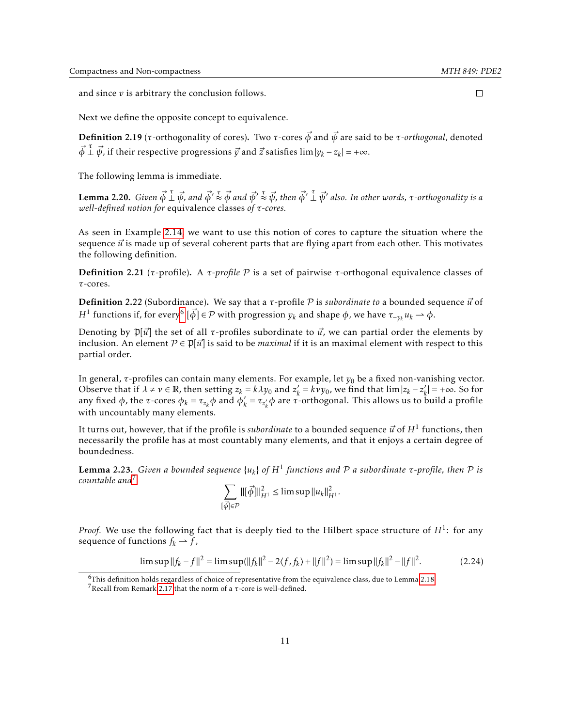and since *v* is arbitrary the conclusion follows.

Next we define the opposite concept to equivalence.

Definition 2.19 (*τ*-orthogonality of cores). Two *τ*-cores *φ⃗* and *ψ⃗* are said to be *τ-orthogonal*, denoted  $\vec{\phi}$   $\vec{\perp}$   $\vec{\psi}$ , if their respective progressions  $\vec{y}$  and  $\vec{z}$  satisfies lim  $|y_k - z_k| = +\infty$ .

The following lemma is immediate.

**Lemma 2.20.** Given  $\vec{\phi} \perp^{\tau} \vec{\psi}$ , and  $\vec{\phi'} \stackrel{\tau}{\approx} \vec{\phi}$  and  $\vec{\psi'} \stackrel{\tau}{\approx} \vec{\psi}$ , then  $\vec{\phi'} \perp^{\tau} \vec{\psi'}$  also. In other words,  $\tau$ -orthogonality is a *well-defined notion for* equivalence classes *of τ-cores.*

As seen in Example [2.14,](#page-9-0) we want to use this notion of cores to capture the situation where the sequence  $\vec{u}$  is made up of several coherent parts that are flying apart from each other. This motivates the following definition.

Definition 2.21 (*τ*-profile). A *τ-profile* P is a set of pairwise *τ*-orthogonal equivalence classes of *τ*-cores.

Definition 2.22 (Subordinance). We say that a *τ*-profile P is *subordinate to* a bounded sequence *⃗u* of *H*<sup>1</sup> functions if, for every<sup>[6](#page-10-0)</sup>  $[\vec{\phi}] \in \mathcal{P}$  with progression  $y_k$  and shape  $\phi$ , we have  $\tau_{-y_k} u_k \to \phi$ .

Denoting by  $\mathfrak{p}[{\vec{u}}]$  the set of all  $\tau$ -profiles subordinate to  ${\vec{u}}$ , we can partial order the elements by inclusion. An element  $\mathcal{P} \in \mathcal{P}[\vec{u}]$  is said to be *maximal* if it is an maximal element with respect to this partial order.

In general, *τ*-profiles can contain many elements. For example, let  $y_0$  be a fixed non-vanishing vector. Observe that if  $\lambda \neq \nu \in \mathbb{R}$ , then setting  $z_k = k \lambda y_0$  and  $z'_k$  $\hat{k}_k = k v y_0$ , we find that  $\lim |z_k - z'_k|$  $\vert k \vert = +\infty$ . So for any fixed  $\phi$ , the *τ*-cores  $\phi_k = \tau_{z_k} \phi$  and  $\phi'_k$  $\alpha'$ <sub>*k*</sub> = *τ<sub>z'<sub>k</sub>*</sub>  $\phi$  are *τ*-orthogonal. This allows us to build a profile with uncountably many elements.

It turns out, however, that if the profile is *subordinate* to a bounded sequence  $\vec{u}$  of  $H^1$  functions, then necessarily the profile has at most countably many elements, and that it enjoys a certain degree of boundedness.

<span id="page-10-3"></span>**Lemma 2.23.** Given a bounded sequence  $\{u_k\}$  of  $H^1$  functions and  $P$  a subordinate τ-profile, then  $P$  is *countable and*[7](#page-10-1)

<span id="page-10-2"></span>
$$
\sum_{\lceil \vec{\phi} \rceil \in \mathcal{P}} \|\lceil \vec{\phi} \rceil\|_{H^1}^2 \le \limsup \|u_k\|_{H^1}^2.
$$

*Proof.* We use the following fact that is deeply tied to the Hilbert space structure of  $H^1$ : for any sequence of functions  $f_k \rightharpoonup f$ ,

$$
\limsup ||f_k - f||^2 = \limsup (||f_k||^2 - 2\langle f, f_k \rangle + ||f||^2) = \limsup ||f_k||^2 - ||f||^2. \tag{2.24}
$$

 $\Box$ 

<span id="page-10-0"></span> $6$ This definition holds regardless of choice of representative from the equivalence class, due to Lemma [2.18.](#page-9-1)

<span id="page-10-1"></span><sup>7</sup>Recall from Remark [2.17](#page-9-2) that the norm of a *τ*-core is well-defined.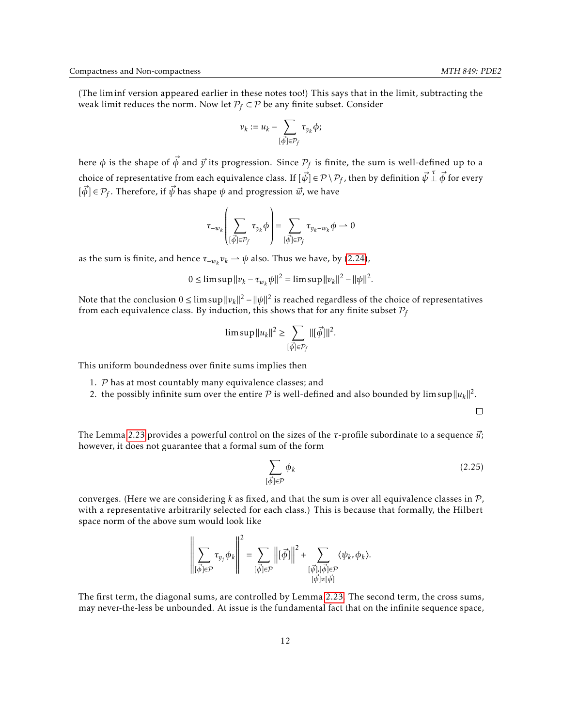(The liminf version appeared earlier in these notes too!) This says that in the limit, subtracting the weak limit reduces the norm. Now let  $P_f \subset \mathcal{P}$  be any finite subset. Consider

$$
v_k:=u_k-\sum_{[\vec{\phi}]\in \mathcal{P}_f}\tau_{y_k}\phi;
$$

here  $\phi$  is the shape of  $\vec{\phi}$  and  $\vec{y}$  its progression. Since  $\mathcal{P}_f$  is finite, the sum is well-defined up to a choice of representative from each equivalence class. If  $[\vec{\psi}]\in\mathcal{P}\setminus\mathcal{P}_f$ , then by definition  $\vec{\psi} \perp^\tau \vec{\phi}$  for every  $[\vec{\phi}] \in \mathcal{P}_f.$  Therefore, if  $\vec{\psi}$  has shape  $\psi$  and progression  $\vec{w}$ , we have

$$
\tau_{-w_k}\left(\sum_{\{\vec{\phi}\}\in\mathcal{P}_f}\tau_{y_k}\phi\right)=\sum_{\{\vec{\phi}\}\in\mathcal{P}_f}\tau_{y_k-w_k}\phi\rightharpoonup 0
$$

as the sum is finite, and hence  $\tau_{-w_k} v_k \to \psi$  also. Thus we have, by [\(2.24\)](#page-10-2),

 $0 \leq \limsup \|v_k - \tau_{w_k} \psi \|^2 = \limsup \|v_k\|^2 - \|\psi \|^2.$ 

Note that the conclusion 0 ≤ limsup∥*vk*∥ <sup>2</sup> − ∥*ψ*∥ 2 is reached regardless of the choice of representatives from each equivalence class. By induction, this shows that for any finite subset  $P_f$ 

$$
\limsup ||u_k||^2 \ge \sum_{\left[\vec{\phi}\right] \in \mathcal{P}_f} ||[\vec{\phi}]||^2.
$$

This uniform boundedness over finite sums implies then

ă,

- 1.  $P$  has at most countably many equivalence classes; and
- 2. the possibly infinite sum over the entire  $\mathcal P$  is well-defined and also bounded by limsup  $||u_k||^2$ .

 $\Box$ 

The Lemma [2.23](#page-10-3) provides a powerful control on the sizes of the *τ*-profile subordinate to a sequence *ū*<sup>;</sup> however, it does not guarantee that a formal sum of the form

<span id="page-11-0"></span>
$$
\sum_{\vec{\phi} \mid \in \mathcal{P}} \phi_k \tag{2.25}
$$

converges. (Here we are considering  $k$  as fixed, and that the sum is over all equivalence classes in  $\mathcal{P}$ , with a representative arbitrarily selected for each class.) This is because that formally, the Hilbert space norm of the above sum would look like

 $\overline{1}$ 

 $\cdot \cdot$ 

$$
\left\| \sum_{[\vec{\phi}] \in \mathcal{P}} \tau_{y_j} \phi_k \right\|^2 = \sum_{[\vec{\phi}] \in \mathcal{P}} \left\| [\vec{\phi}] \right\|^2 + \sum_{[\vec{\psi}] , [\vec{\phi}] \in \mathcal{P}} \langle \psi_k, \phi_k \rangle.
$$

The first term, the diagonal sums, are controlled by Lemma [2.23.](#page-10-3) The second term, the cross sums, may never-the-less be unbounded. At issue is the fundamental fact that on the infinite sequence space,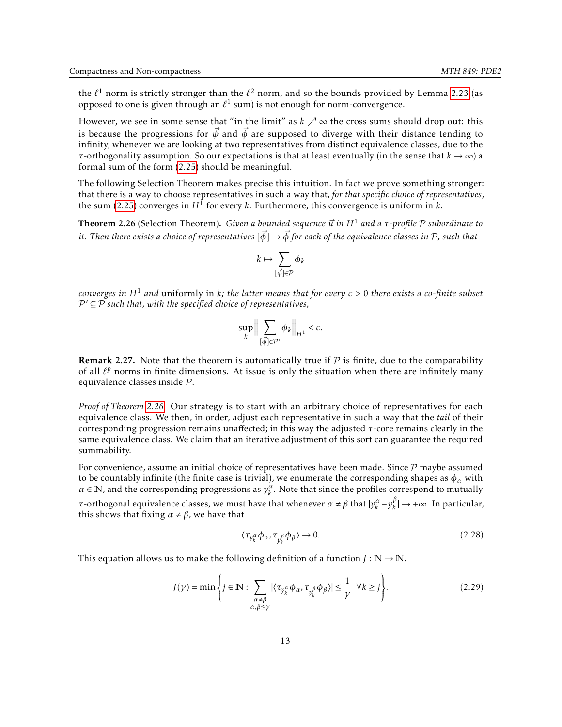the  $\ell^1$  norm is strictly stronger than the  $\ell^2$  norm, and so the bounds provided by Lemma [2.23](#page-10-3) (as opposed to one is given through an  $\ell^1$  sum) is not enough for norm-convergence.

However, we see in some sense that "in the limit" as  $k \nearrow \infty$  the cross sums should drop out: this is because the progressions for  $\vec{\psi}$  and  $\vec{\phi}$  are supposed to diverge with their distance tending to infinity, whenever we are looking at two representatives from distinct equivalence classes, due to the *τ*-orthogonality assumption. So our expectations is that at least eventually (in the sense that  $k \to \infty$ ) a formal sum of the form [\(2.25\)](#page-11-0) should be meaningful.

The following Selection Theorem makes precise this intuition. In fact we prove something stronger: that there is a way to choose representatives in such a way that, *for that specific choice of representatives*, the sum [\(2.25\)](#page-11-0) converges in *H*<sup>1</sup> for every *k*. Furthermore, this convergence is uniform in *k*.

<span id="page-12-0"></span>Theorem 2.26 (Selection Theorem). *Given a bounded sequence ⃗u in H*<sup>1</sup> *and a τ-profile* P *subordinate to it. Then there exists a choice of representatives*  $[\vec{\phi}] \to \vec{\phi}$  *for each of the equivalence classes in* P, such that

$$
k \mapsto \sum_{[\vec{\phi}]\in \mathcal{P}}\phi_k
$$

*converges in*  $H^1$  *and* uniformly in *k*; the latter means that for every  $\epsilon > 0$  there exists a co-finite subset P ′ ⊆ P *such that, with the specified choice of representatives,*

$$
\sup_{k} \Big\| \sum_{\{\vec{\phi}\} \in \mathcal{P}'} \phi_k \Big\|_{H^1} < \epsilon.
$$

**Remark 2.27.** Note that the theorem is automatically true if  $P$  is finite, due to the comparability of all  $\ell^p$  norms in finite dimensions. At issue is only the situation when there are infinitely many equivalence classes inside P.

*Proof of Theorem [2.26.](#page-12-0)* Our strategy is to start with an arbitrary choice of representatives for each equivalence class. We then, in order, adjust each representative in such a way that the *tail* of their corresponding progression remains unaffected; in this way the adjusted *τ*-core remains clearly in the same equivalence class. We claim that an iterative adjustment of this sort can guarantee the required summability.

For convenience, assume an initial choice of representatives have been made. Since  $P$  maybe assumed to be countably infinite (the finite case is trivial), we enumerate the corresponding shapes as  $\phi_\alpha$  with  $\alpha \in \mathbb{N}$ , and the corresponding progressions as  $y_k^{\alpha}$ . Note that since the profiles correspond to mutually *τ*-orthogonal equivalence classes, we must have that whenever  $\alpha \neq \beta$  that  $|y_k^{\alpha} - y_k^{\beta}|$  $\binom{p}{k}$  → +∞. In particular, this shows that fixing  $\alpha \neq \beta$ , we have that

<span id="page-12-1"></span>
$$
\langle \tau_{y_k^{\alpha}} \phi_{\alpha}, \tau_{n^{\beta}} \phi_{\beta} \rangle \to 0. \tag{2.28}
$$

This equation allows us to make the following definition of a function  $J : \mathbb{N} \to \mathbb{N}$ .

$$
J(\gamma) = \min \left\{ j \in \mathbb{N} : \sum_{\substack{\alpha \neq \beta \\ \alpha, \beta \leq \gamma}} |\langle \tau_{y_k^{\alpha}} \phi_{\alpha}, \tau_{y_k^{\beta}} \phi_{\beta} \rangle| \leq \frac{1}{\gamma} \ \forall k \geq j \right\}.
$$
 (2.29)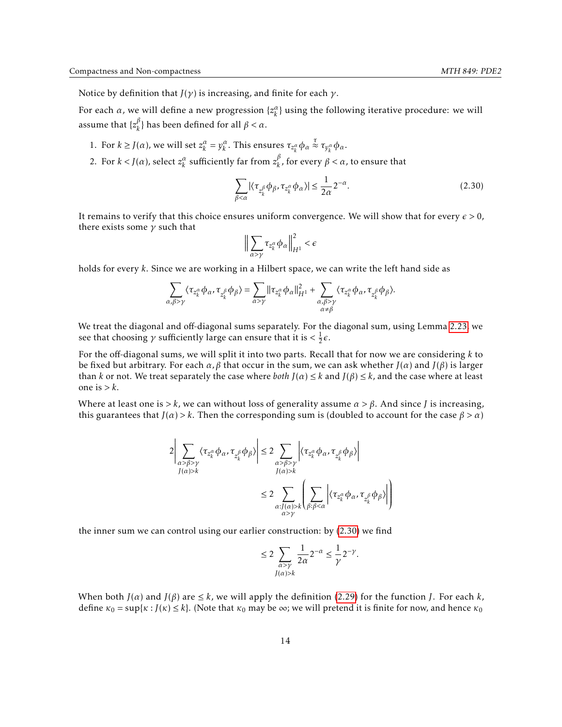- 1. For  $k \ge J(\alpha)$ , we will set  $z_k^{\alpha} = y_k^{\alpha}$ . This ensures  $\tau_{z_k^{\alpha}} \phi_{\alpha} \stackrel{\tau}{\approx} \tau_{y_k^{\alpha}} \phi_{\alpha}$ .
- 2. For  $k < J(\alpha)$ , select  $z_k^{\alpha}$  sufficiently far from  $z_k^{\beta}$ *k* , for every *β < α*, to ensure that

$$
\sum_{\beta < \alpha} |\langle \tau_{z_k^{\beta}} \phi_{\beta}, \tau_{z_k^{\alpha}} \phi_{\alpha} \rangle| \le \frac{1}{2\alpha} 2^{-\alpha}.\tag{2.30}
$$

It remains to verify that this choice ensures uniform convergence. We will show that for every  $\epsilon > 0$ , there exists some *γ* such that

$$
\Big\|\sum_{\alpha>\gamma}\tau_{z_k^{\alpha}}\phi_{\alpha}\Big\|_{H^1}^2 < \epsilon
$$

holds for every *k*. Since we are working in a Hilbert space, we can write the left hand side as

$$
\sum_{\alpha,\beta>\gamma}\langle\tau_{z_k^{\alpha}}\phi_{\alpha},\tau_{z_k^{\beta}}\phi_{\beta}\rangle=\sum_{\alpha>\gamma}\|\tau_{z_k^{\alpha}}\phi_{\alpha}\|_{H^1}^2+\sum_{\substack{\alpha,\beta>\gamma\\ \alpha\neq\beta}}\langle\tau_{z_k^{\alpha}}\phi_{\alpha},\tau_{z_k^{\beta}}\phi_{\beta}\rangle.
$$

We treat the diagonal and off-diagonal sums separately. For the diagonal sum, using Lemma [2.23,](#page-10-3) we see that choosing  $\gamma$  sufficiently large can ensure that it is  $\langle \frac{1}{2} \epsilon \rangle$ .

For the off-diagonal sums, we will split it into two parts. Recall that for now we are considering *k* to be fixed but arbitrary. For each *α, β* that occur in the sum, we can ask whether *J*(*α*) and *J*(*β*) is larger than *k* or not. We treat separately the case where *both*  $J(\alpha) \leq k$  and  $J(\beta) \leq k$ , and the case where at least one is *> k*.

Where at least one is  $> k$ , we can without loss of generality assume  $\alpha > \beta$ . And since *J* is increasing, this guarantees that  $J(\alpha) > k$ . Then the corresponding sum is (doubled to account for the case  $\beta > \alpha$ )

$$
2\left| \sum_{\substack{\alpha > \beta > \gamma \\ J(\alpha) > k}} \langle \tau_{z_k^{\alpha}} \phi_{\alpha}, \tau_{z_k^{\beta}} \phi_{\beta} \rangle \right| \leq 2 \sum_{\substack{\alpha > \beta > \gamma \\ J(\alpha) > k}} \left| \langle \tau_{z_k^{\alpha}} \phi_{\alpha}, \tau_{z_k^{\beta}} \phi_{\beta} \rangle \right|
$$
  

$$
\leq 2 \sum_{\substack{\alpha : J(\alpha) > k \\ \alpha > \gamma}} \left| \sum_{\beta : \beta < \alpha} \left| \langle \tau_{z_k^{\alpha}} \phi_{\alpha}, \tau_{z_k^{\beta}} \phi_{\beta} \rangle \right| \right)
$$

the inner sum we can control using our earlier construction: by  $(2.30)$  we find

$$
\leq 2\sum_{\substack{\alpha>\gamma\\J(\alpha)>k}}\frac{1}{2\alpha}2^{-\alpha}\leq \frac{1}{\gamma}2^{-\gamma}.
$$

When both  $J(\alpha)$  and  $J(\beta)$  are  $\leq k$ , we will apply the definition [\(2.29\)](#page-12-1) for the function *J*. For each *k*, define  $\kappa_0 = \sup{\kappa : J(\kappa) \leq k}$ . (Note that  $\kappa_0$  may be  $\infty$ ; we will pretend it is finite for now, and hence  $\kappa_0$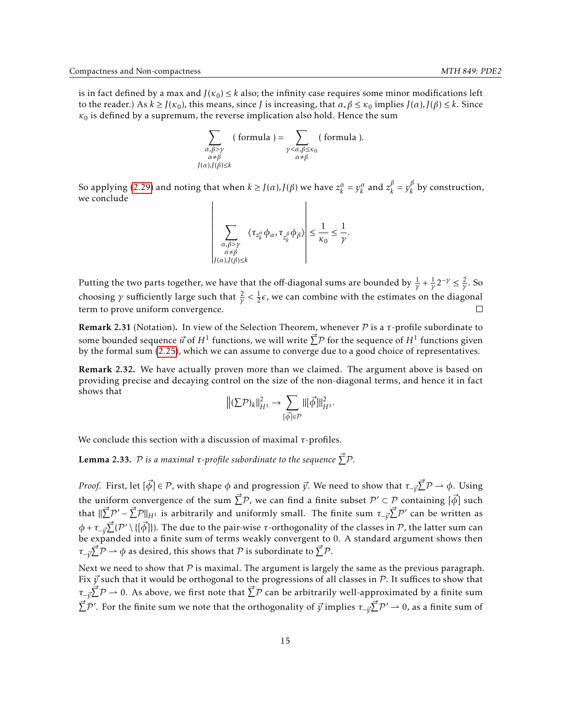is in fact defined by a max and  $J(\kappa_0) \le k$  also; the infinity case requires some minor modifications left to the reader.) As  $k \ge J(\kappa_0)$ , this means, since *J* is increasing, that *α*, *β* ≤ *κ*<sub>0</sub> implies *J*(*α*), *J*(*β*) ≤ *k*. Since  $\kappa_0$  is defined by a supremum, the reverse implication also hold. Hence the sum

$$
\sum_{\substack{\alpha,\beta>\gamma \\ \alpha\neq\beta \\ J(\alpha),J(\beta)\leq k}} (\text{ formula }) = \sum_{\substack{\gamma<\alpha,\beta\leq\kappa_0 \\ \alpha\neq\beta}} (\text{ formula }).
$$

So applying [\(2.29\)](#page-12-1) and noting that when  $k \ge J(\alpha)$ ,  $J(\beta)$  we have  $z_k^{\alpha} = y_k^{\alpha}$  and  $z_k^{\beta}$  $\frac{\beta}{k} = y_k^{\beta}$  $\binom{p}{k}$  by construction, we conclude

$$
\left| \sum_{\substack{\alpha,\beta>\gamma \\ \alpha \neq \beta \\ J(\alpha), J(\beta) \leq k}} \langle \tau_{z_k^{\alpha}} \phi_{\alpha}, \tau_{z_k^{\beta}} \phi_{\beta} \rangle \right| \leq \frac{1}{\kappa_0} \leq \frac{1}{\gamma}.
$$

Putting the two parts together, we have that the off-diagonal sums are bounded by  $\frac{1}{\gamma} + \frac{1}{\gamma}2^{-\gamma} \leq \frac{2}{\gamma}$ . So choosing  $\gamma$  sufficiently large such that  $\frac{2}{\gamma} < \frac{1}{2}\epsilon$ , we can combine with the estimates on the diagonal term to prove uniform convergence.  $\Box$ 

Remark 2.31 (Notation). In view of the Selection Theorem, whenever P is a *τ*-profile subordinate to some bounded sequence  $\vec{u}$  of  $H^1$  functions, we will write  $\vec{\sum} \mathcal{P}$  for the sequence of  $H^1$  functions given by the formal sum [\(2.25\)](#page-11-0), which we can assume to converge due to a good choice of representatives.

<span id="page-14-0"></span>Remark 2.32. We have actually proven more than we claimed. The argument above is based on providing precise and decaying control on the size of the non-diagonal terms, and hence it in fact shows that

$$
\left\|(\Sigma \mathcal{P})_k\right\|_{H^1}^2 \to \sum_{\left[\vec{\phi}\right] \in \mathcal{P}} \left\|[\vec{\phi}]\right\|_{H^1}^2.
$$

We conclude this section with a discussion of maximal *τ*-profiles.

**Lemma 2.33.**  $P$  is a maximal τ-profile subordinate to the sequence  $\vec{\sum}P$ .

*Proof.* First, let  $[\vec{\phi}] \in \mathcal{P}$ , with shape  $\phi$  and progression  $\vec{y}$ . We need to show that  $\tau_{-\vec{y}}\vec{\sum}\mathcal{P}\to \phi$ . Using the uniform convergence of the sum  $\vec{\sum} \mathcal{P}$ , we can find a finite subset  $\mathcal{P}'\subset \mathcal{P}$  containing  $[\vec{\phi}]$  such that  $\|\vec{\sum}P'-\vec{\sum}P\|_{H^1}$  is arbitrarily and uniformly small. The finite sum  $\tau_{-\vec{y}}\vec{\sum}P'$  can be written as *φ* + *τ*<sub>− $\vec{y}$  Ž( $\mathcal{P}'\setminus\{[\vec{\phi}]\}$ ). The due to the pair-wise *τ*-orthogonality of the classes in  $\mathcal{P}$ , the latter sum can</sub> be expanded into a finite sum of terms weakly convergent to 0. A standard argument shows then  $\tau_{-\vec y} \vec \sum \mathcal P \rightharpoonup \phi$  as desired, this shows that  $\mathcal P$  is subordinate to  $\vec \sum \mathcal P.$ 

Next we need to show that  $\mathcal P$  is maximal. The argument is largely the same as the previous paragraph. Fix  $\vec{y}$  such that it would be orthogonal to the progressions of all classes in P. It suffices to show that *τ*− $\vec{y}$   $\vec{Z}$   $\vec{P}$  → 0. As above, we first note that  $\vec{Z}$   $\vec{P}$  can be arbitrarily well-approximated by a finite sum  $\vec{\Sigma}$ P'. For the finite sum we note that the orthogonality of  $\vec{y}$  implies  $\tau_{-\vec{y}}\vec{\Sigma}$ P'  $\to$  0, as a finite sum of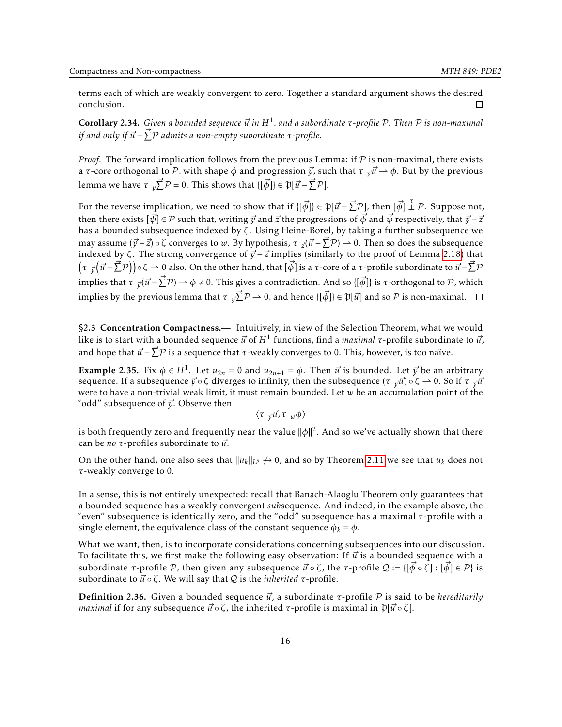terms each of which are weakly convergent to zero. Together a standard argument shows the desired conclusion.  $\Box$ 

<span id="page-15-1"></span>Corollary 2.34. *Given a bounded sequence ⃗u in H*<sup>1</sup> *, and a subordinate τ-profile* P*. Then* P *is non-maximal if and only if ⃗u* − *⃗* P P *admits a non-empty subordinate τ-profile.*

*Proof.* The forward implication follows from the previous Lemma: if  $\mathcal P$  is non-maximal, there exists a *τ*-core orthogonal to P, with shape  $\phi$  and progression  $\vec{y}$ , such that  $\tau_{-\vec{y}}\vec{u} \to \phi$ . But by the previous lemma we have  $\tau_{-\vec{y}}\vec{\sum}P=0.$  This shows that  $\{[\vec{\phi}]\}\in \mathfrak{P}[\vec{u}-\vec{\sum}P].$ 

For the reverse implication, we need to show that if  $\{[\vec{\phi}]\}\in \mathfrak{P}[\vec{u}-\vec{\sum}\mathcal{P}]$ , then  $[\vec{\phi}]\stackrel{\tau}{\perp}\mathcal{P}$ . Suppose not, then there exists  $[\vec{\psi}] \in \mathcal{P}$  such that, writing  $\vec{y}$  and  $\vec{z}$  the progressions of  $\vec{\phi}$  and  $\vec{\psi}$  respectively, that  $\vec{y} - \vec{z}$ has a bounded subsequence indexed by *ζ*. Using Heine-Borel, by taking a further subsequence we may assume ( $\vec{y}$ −*z*) ∘ ζ converges to *w*. By hypothesis,  $\tau_{-\vec{z}}(\vec{u}$ − $\vec{\sum}$ P) → 0. Then so does the subsequence indexed by  $\zeta$ . The strong convergence of  $\vec{y}$  –  $\vec{z}$  implies (similarly to the proof of Lemma [2.18\)](#page-9-1) that  $\big(\tau_{-\vec{y}}\big(\vec{u}-\vec{\sum}\mathcal{P}\big)\big)$ οζ → 0 also. On the other hand, that [ $\vec{\phi}$ ] is a *τ*-core of a *τ*-profile subordinate to  $\vec{u}-\vec{\sum}\mathcal{P}$ implies that  $\tau_{-\vec{y}}(\vec{u}-\vec{\sum}P)\to \phi\neq 0.$  This gives a contradiction. And so  $\{[\vec{\phi}]\}$  is  $\tau$ -orthogonal to  $P$ , which implies by the previous lemma that  $\tau_{-\vec{y}}\vec{\sum}P\to 0$ , and hence  $\{[\vec{\phi}]\}\in \mathfrak{P}[\vec{u}]$  and so  $\mathcal P$  is non-maximal.

<span id="page-15-0"></span>§2.3 Concentration Compactness.— Intuitively, in view of the Selection Theorem, what we would like is to start with a bounded sequence  $\vec{u}$  of  $H^1$  functions, find a *maximal τ*-profile subordinate to  $\vec{u}$ , and hope that  $\vec{u}$  −  $\vec{\sum}$   $\mathcal{P}$  is a sequence that *τ*-weakly converges to 0. This, however, is too naïve.

Example 2.35. Fix  $\phi \in H^1$ . Let  $u_{2n} = 0$  and  $u_{2n+1} = \phi$ . Then  $\vec{u}$  is bounded. Let  $\vec{y}$  be an arbitrary sequence. If a subsequence  $\vec{y}$  ∘ *ζ* diverges to infinity, then the subsequence ( $\tau_{-\vec{v}}\vec{u}$ ) ∘ ζ → 0. So if  $\tau_{-\vec{v}}\vec{u}$ were to have a non-trivial weak limit, it must remain bounded. Let *w* be an accumulation point of the "odd" subsequence of  $\vec{y}$ . Observe then

 $\langle \tau_{-\vec {v}} \vec {u}, \tau_{-w} \phi \rangle$ 

is both frequently zero and frequently near the value ∥*φ*∥ 2 . And so we've actually shown that there can be *no τ*-profiles subordinate to *⃗u*.

On the other hand, one also sees that  $||u_k||_{L^p} \nrightarrow 0$ , and so by Theorem [2.11](#page-7-0) we see that  $u_k$  does not *τ*-weakly converge to 0.

In a sense, this is not entirely unexpected: recall that Banach-Alaoglu Theorem only guarantees that a bounded sequence has a weakly convergent *sub*sequence. And indeed, in the example above, the "even" subsequence is identically zero, and the "odd" subsequence has a maximal *τ*-profile with a single element, the equivalence class of the constant sequence  $\phi_k = \phi$ .

What we want, then, is to incorporate considerations concerning subsequences into our discussion. To facilitate this, we first make the following easy observation: If  $\vec{u}$  is a bounded sequence with a subordinate  $\tau$ -profile  $\mathcal{P}$ , then given any subsequence  $\vec{u} \circ \zeta$ , the  $\tau$ -profile  $\mathcal{Q} := \{ \vec{\phi} \circ \zeta \} : [\vec{\phi}] \in \mathcal{P} \}$  is subordinate to  $\vec{u} \circ \zeta$ . We will say that *Q* is the *inherited τ*-profile.

Definition 2.36. Given a bounded sequence *⃗u*, a subordinate *τ*-profile P is said to be *hereditarily maximal* if for any subsequence  $\vec{u} \circ \zeta$ , the inherited  $\tau$ -profile is maximal in  $\mathfrak{P}[\vec{u} \circ \zeta]$ .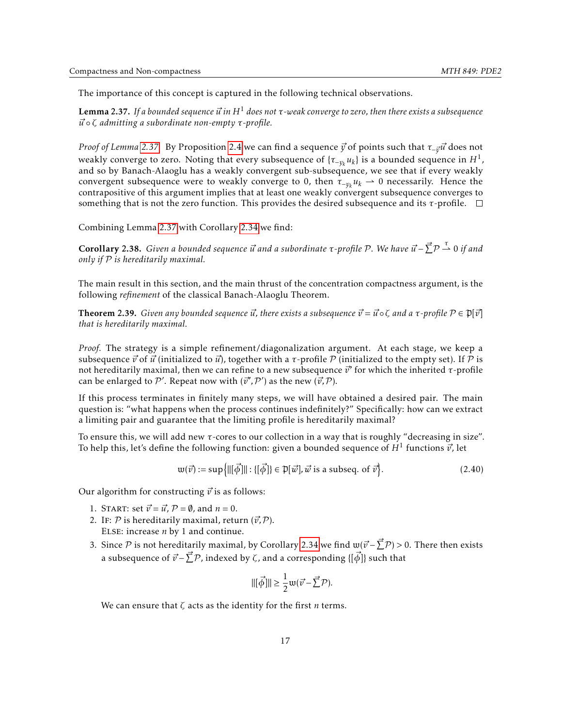The importance of this concept is captured in the following technical observations.

<span id="page-16-0"></span>**Lemma 2.37.** If a bounded sequence  $\vec{u}$  in  $H^1$  does not  $\tau$ -weak converge to zero, then there exists a subsequence *⃗u* ◦ *ζ admitting a subordinate non-empty τ-profile.*

*Proof of Lemma* [2.37.](#page-16-0) By Proposition [2.4](#page-5-3) we can find a sequence *y* of points such that *τ*<sub>−*τ*<sup>*u*</sup></sub> does not weakly converge to zero. Noting that every subsequence of  $\{\tau_{-y_k} u_k\}$  is a bounded sequence in  $H^1$ , and so by Banach-Alaoglu has a weakly convergent sub-subsequence, we see that if every weakly convergent subsequence were to weakly converge to 0, then  $\tau_{-\gamma_k} u_k \to 0$  necessarily. Hence the contrapositive of this argument implies that at least one weakly convergent subsequence converges to something that is not the zero function. This provides the desired subsequence and its *τ*-profile.

Combining Lemma [2.37](#page-16-0) with Corollary [2.34](#page-15-1) we find:

<span id="page-16-2"></span>**Corollary 2.38.** Given a bounded sequence  $\vec{u}$  and a subordinate τ-profile Ρ. We have  $\vec{u}$  −  $\vec{\sum}$ Ρ  $\stackrel{\tau}{\rightharpoonup}$  0 if and *only if* P *is hereditarily maximal.*

The main result in this section, and the main thrust of the concentration compactness argument, is the following *refinement* of the classical Banach-Alaoglu Theorem.

<span id="page-16-1"></span>**Theorem 2.39.** Given any bounded sequence  $\vec{u}$ , there exists a subsequence  $\vec{v} = \vec{u} \circ \zeta$  and a  $\tau$ -profile  $\mathcal{P} \in \mathfrak{P}[\vec{v}]$ *that is hereditarily maximal.*

*Proof.* The strategy is a simple refinement/diagonalization argument. At each stage, we keep a subsequence  $\vec{v}$  of  $\vec{u}$  (initialized to  $\vec{u}$ ), together with a  $\tau$ -profile  $P$  (initialized to the empty set). If  $P$  is not hereditarily maximal, then we can refine to a new subsequence *⃗v* ′ for which the inherited *τ*-profile can be enlarged to  $\mathcal{P}'$ . Repeat now with  $(\vec{v}', \mathcal{P}')$  as the new  $(\vec{v}, \mathcal{P})$ .

If this process terminates in finitely many steps, we will have obtained a desired pair. The main question is: "what happens when the process continues indefinitely?" Specifically: how can we extract a limiting pair and guarantee that the limiting profile is hereditarily maximal?

To ensure this, we will add new *τ*-cores to our collection in a way that is roughly "decreasing in size". To help this, let's define the following function: given a bounded sequence of  $H^1$  functions  $\vec{v}$ , let

$$
\mathbf{w}(\vec{v}) := \sup \{ ||[\vec{\phi}]|| : [[\vec{\phi}]]\} \in \mathcal{P}[\vec{w}], \vec{w} \text{ is a subseq. of } \vec{v} \}.
$$
 (2.40)

Our algorithm for constructing  $\vec{v}$  is as follows:

- 1. START: set  $\vec{v} = \vec{u}$ ,  $\mathcal{P} = \emptyset$ , and  $n = 0$ .
- 2. IF:  $P$  is hereditarily maximal, return  $(\vec{v}, P)$ . Else: increase *n* by 1 and continue.
- 3. Since P is not hereditarily maximal, by Corollary [2.34](#page-15-1) we find  $w(\vec{v} \vec{\sum}P) > 0$ . There then exists a subsequence of  $\vec{v}$  –  $\vec{\sum}$   $\mathcal{P}$ , indexed by  $\zeta$ , and a corresponding {[ $\vec{\phi}$ ]} such that

$$
\|[\vec{\phi}]\| \ge \frac{1}{2} \mathfrak{w}(\vec{v} - \vec{\sum} \mathcal{P})
$$

We can ensure that *ζ* acts as the identity for the first *n* terms.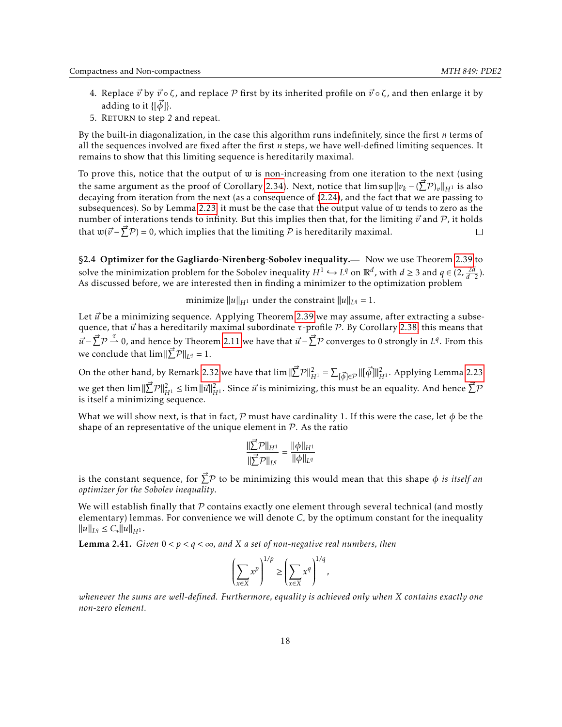- 4. Replace  $\vec{v}$  by  $\vec{v} \circ \zeta$ , and replace  $\mathcal P$  first by its inherited profile on  $\vec{v} \circ \zeta$ , and then enlarge it by adding to it  $\{\{\vec{\phi}\}\}.$
- 5. RETURN to step 2 and repeat.

By the built-in diagonalization, in the case this algorithm runs indefinitely, since the first *n* terms of all the sequences involved are fixed after the first *n* steps, we have well-defined limiting sequences. It remains to show that this limiting sequence is hereditarily maximal.

To prove this, notice that the output of w is non-increasing from one iteration to the next (using the same argument as the proof of Corollary [2.34\)](#page-15-1). Next, notice that  $\limsup \|v_k - (\vec{\sum} \mathcal{P})_v\|_{H^1}$  is also decaying from iteration from the next (as a consequence of [\(2.24\)](#page-10-2), and the fact that we are passing to subsequences). So by Lemma [2.23,](#page-10-3) it must be the case that the output value of w tends to zero as the number of interations tends to infinity. But this implies then that, for the limiting  $\vec{v}$  and  $\vec{P}$ , it holds that  $\mathfrak{w}(\vec{v} - \vec{\sum} \mathcal{P}) = 0$ , which implies that the limiting  $\mathcal P$  is hereditarily maximal.  $\Box$ 

<span id="page-17-0"></span>§2.4 Optimizer for the Gagliardo-Nirenberg-Sobolev inequality.— Now we use Theorem [2.39](#page-16-1) to solve the minimization problem for the Sobolev inequality  $H^1 \hookrightarrow L^q$  on  $\mathbb{R}^d$ , with  $d \geq 3$  and  $q \in (2, \frac{2d}{d-2})$ . As discussed before, we are interested then in finding a minimizer to the optimization problem

minimize  $\|u\|_{H^1}$  under the constraint  $\|u\|_{L^q} = 1$ .

Let  $\vec{u}$  be a minimizing sequence. Applying Theorem [2.39](#page-16-1) we may assume, after extracting a subsequence, that *ū*' has a hereditarily maximal subordinate *τ*-profile *P*. By Corollary [2.38,](#page-16-2) this means that  $\vec{u}$  −  $\vec{\sum}$   $\mathcal{P}$   $\stackrel{\tau}{\rightharpoonup}$  0, and hence by Theorem [2.11](#page-7-0) we have that  $\vec{u}$  −  $\vec{\sum}$   $\mathcal{P}$  converges to 0 strongly in *L<sup>q</sup>*. From this we conclude that  $\lim ||\vec{\sum}P||_{L^q} = 1$ .

On the other hand, by Remark [2.32](#page-14-0) we have that  $\lim \|\vec{\sum}P\|^2_{H^1} = \sum_{[\vec{\phi}]\in\mathcal{P}} \|[\vec{\phi}]\|^2_{H^1}$ . Applying Lemma [2.23](#page-10-3) we get then  $\lim_{n \to \infty} \|\vec{z}^{\prime}\|_{H^1}^2 \leq \lim_{n \to \infty} \|\vec{u}\|_{H^1}^2$ . Since  $\vec{u}$  is minimizing, this must be an equality. And hence  $\vec{\sum} \mathcal{P}$ is itself a minimizing sequence.

What we will show next, is that in fact, P must have cardinality 1. If this were the case, let  $\phi$  be the shape of an representative of the unique element in  $P$ . As the ratio

$$
\frac{\|\sum_{i=1}^{n} P\|_{H^1}}{\|\sum_{i=1}^{n} P\|_{L^q}} = \frac{\|\phi\|_{H^1}}{\|\phi\|_{L^q}}
$$

is the constant sequence, for  $\vec{\Sigma}^{\mathcal{P}}$  to be minimizing this would mean that this shape  $\phi$  *is itself an optimizer for the Sobolev inequality*.

We will establish finally that  $P$  contains exactly one element through several technical (and mostly elementary) lemmas. For convenience we will denote  $C<sub>*</sub>$  by the optimum constant for the inequality  $||u||_{L^q} \leq C_* ||u||_{H^1}.$ 

<span id="page-17-1"></span>**Lemma 2.41.** *Given*  $0 < p < q < \infty$ *, and X a set of non-negative real numbers, then* 

$$
\left(\sum_{x\in X} x^p\right)^{1/p} \ge \left(\sum_{x\in X} x^q\right)^{1/q},
$$

*whenever the sums are well-defined. Furthermore, equality is achieved only when X contains exactly one non-zero element.*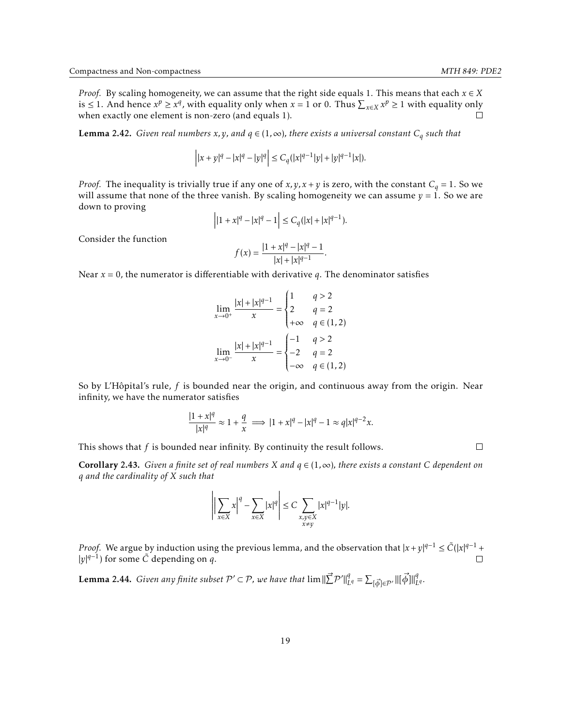*Proof.* By scaling homogeneity, we can assume that the right side equals 1. This means that each  $x \in X$ is ≤ 1. And hence  $x^p$  ≥  $x^q$ , with equality only when  $x = 1$  or 0. Thus  $\sum_{x \in X} x^p \ge 1$  with equality only when exactly one element is non-zero (and equals 1).  $\Box$ 

**Lemma 2.42.** *Given real numbers*  $x, y$ *, and*  $q \in (1, \infty)$ *, there exists a universal constant*  $C_q$  such that

$$
\left||x+y|^q-|x|^q-|y|^q\right|\le C_q(|x|^{q-1}|y|+|y|^{q-1}|x|).
$$

*Proof.* The inequality is trivially true if any one of  $x, y, x + y$  is zero, with the constant  $C_q = 1$ . So we will assume that none of the three vanish. By scaling homogeneity we can assume  $y = 1$ . So we are down to proving

$$
\left| |1 + x|^{q} - |x|^{q} - 1 \right| \le C_q(|x| + |x|^{q-1}).
$$

Consider the function

$$
f(x) = \frac{|1 + x|^q - |x|^q - 1}{|x| + |x|^{q-1}}.
$$

Near *x* = 0, the numerator is differentiable with derivative *q*. The denominator satisfies

$$
\lim_{x \to 0^{+}} \frac{|x| + |x|^{q-1}}{x} = \begin{cases} 1 & q > 2 \\ 2 & q = 2 \\ +\infty & q \in (1, 2) \end{cases}
$$

$$
\lim_{x \to 0^{-}} \frac{|x| + |x|^{q-1}}{x} = \begin{cases} -1 & q > 2 \\ -2 & q = 2 \\ -\infty & q \in (1, 2) \end{cases}
$$

So by L'Hôpital's rule, *f* is bounded near the origin, and continuous away from the origin. Near infinity, we have the numerator satisfies

$$
\frac{|1+x|^q}{|x|^q}\approx 1+\frac{q}{x}\implies |1+x|^q-|x|^q-1\approx q|x|^{q-2}x.
$$

This shows that *f* is bounded near infinity. By continuity the result follows.

<span id="page-18-0"></span>Corollary 2.43. *Given a finite set of real numbers X and q* ∈ (1*,*∞)*, there exists a constant C dependent on q and the cardinality of X such that*

$$
\left|\left|\sum_{x\in X}x\right|^{q}-\sum_{x\in X}|x|^{q}\right|\leq C\sum_{\substack{x,y\in X\\x\neq y}}|x|^{q-1}|y|.
$$

*Proof.* We argue by induction using the previous lemma, and the observation that  $|x+y|^{q-1} \leq \tilde{C}(|x|^{q-1} +$ |*y*| *q*−1 ) for some *C*˜ depending on *q*.  $\Box$ 

<span id="page-18-1"></span>Lemma 2.44. *Given any finite subset*  $\mathcal{P}' \subset \mathcal{P}$ , we have that  $\lim \|\vec{\sum} \mathcal{P}'\|_I^q$  $L^q = \sum_{\vec{\phi} \in \mathcal{P}'} \left\| \left[ \vec{\phi} \right] \right\|^q$ *L q .*  $\Box$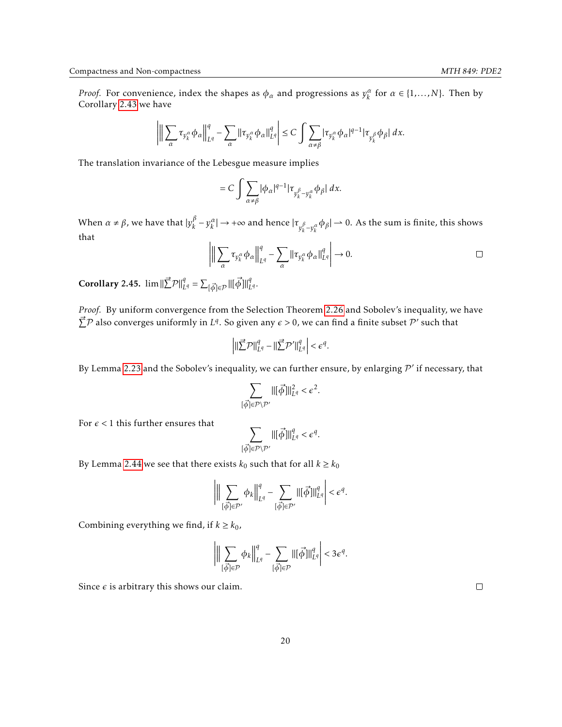Corollary 2.43 we have 
$$
\frac{1}{2}
$$

$$
\left|\bigg\|\sum_{\alpha}\tau_{y_k^\alpha}\phi_\alpha\bigg\|_{L^q}^q-\sum_{\alpha}\|\tau_{y_k^\alpha}\phi_\alpha\|_{L^q}^q\right|\leq C\int\sum_{\alpha\neq\beta}|\tau_{y_k^\alpha}\phi_\alpha|^{q-1}|\tau_{y_k^\beta}\phi_\beta|\;dx.
$$

The translation invariance of the Lebesgue measure implies

$$
=C\int\sum_{\alpha\neq\beta}|\phi_{\alpha}|^{q-1}|\tau_{y_{k}^{\beta}-y_{k}^{\alpha}}\phi_{\beta}|dx.
$$

When  $\alpha \neq \beta$ , we have that  $|y_k^{\beta}|$ *β* − *y*<sup>α</sup>/ $\vert$  → +∞ and hence | $τ_{y_k^{\beta}-y_k^{\alpha}}$  φ<sub>β</sub>| → 0. As the sum is finite, this shows that

$$
\left\| \left[ \sum_{\alpha} \tau_{y_k^{\alpha}} \phi_{\alpha} \right]_{L^q}^q - \sum_{\alpha} \left\| \tau_{y_k^{\alpha}} \phi_{\alpha} \right\|_{L^q}^q \right\| \to 0.
$$

<span id="page-19-0"></span>**Corollary 2.45.**  $\lim ||\vec{\sum} \mathcal{P}||_{L^q}^q = \sum_{\vec{[\phi]}\in\mathcal{P}} ||[\vec{\phi}]||_L^q$ *L q .*

*Proof.* By uniform convergence from the Selection Theorem [2.26](#page-12-0) and Sobolev's inequality, we have  $\vec{\Sigma}$ P also converges uniformly in *L*<sup>q</sup>. So given any  $\epsilon > 0$ , we can find a finite subset P' such that

$$
\left| \|\vec{\sum} \mathcal{P}\|_{L^q}^q - \|\vec{\sum} \mathcal{P}'\|_{L^q}^q \right| < \epsilon^q.
$$

By Lemma [2.23](#page-10-3) and the Sobolev's inequality, we can further ensure, by enlarging  $\mathcal{P}'$  if necessary, that

$$
\sum_{[\vec{\phi}]\in\mathcal{P}\setminus\mathcal{P}'} ||[\vec{\phi}]||^2_{L^q}<\epsilon^2
$$

For  $\epsilon$  < 1 this further ensures that

$$
\sum_{\vec{p} \in \mathcal{P} \setminus \mathcal{P}'} ||[\vec{\phi}]||_{L^q}^q < \epsilon^q
$$

By Lemma [2.44](#page-18-1) we see that there exists  $k_0$  such that for all  $k \geq k_0$ 

 $[$ 

$$
\left|\Big|\Big|\sum_{[\vec\phi]\in\mathcal P'}\phi_k\Big|\Big|_{L^q}^q-\sum_{[\vec\phi]\in\mathcal P'}\|\big[\vec\phi\big]\|_{L^q}^q\right|<\epsilon^q.
$$

Combining everything we find, if  $k \geq k_0$ ,

$$
\left|\Big|\Big|\sum_{[\vec\phi]\in\mathcal P}\phi_k\Big|\Big|_{L^q}^q-\sum_{[\vec\phi]\in\mathcal P}\|[\vec\phi]\|_{L^q}^q\right|<3\epsilon^q.
$$

Since  $\epsilon$  is arbitrary this shows our claim.

 $\Box$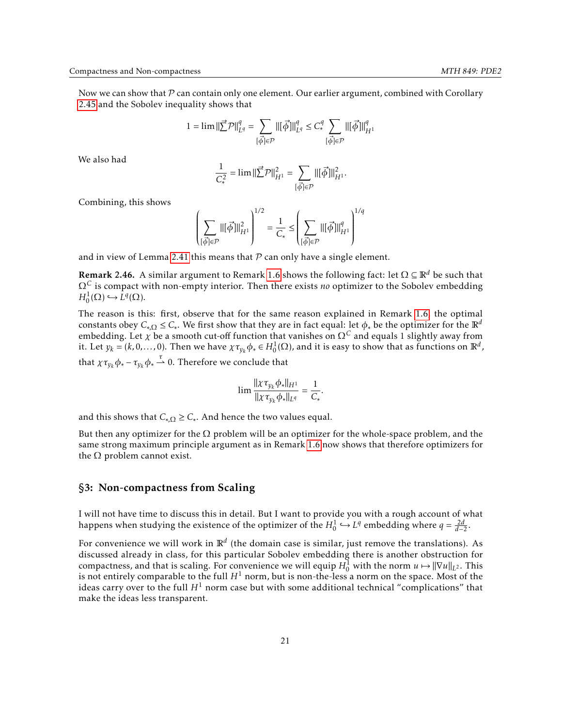Now we can show that  $\mathcal P$  can contain only one element. Our earlier argument, combined with Corollary [2.45](#page-19-0) and the Sobolev inequality shows that

$$
1=\lim \|\vec{\sum} \mathcal{P}\|_{L^q}^q=\sum_{[\vec{\phi}]\in \mathcal{P}}\|[\vec{\phi}]\|_{L^q}^q\leq C_*^q\sum_{[\vec{\phi}]\in \mathcal{P}}\|[\vec{\phi}]\|_{H^1}^q
$$

We also had

$$
\frac{1}{C_*^2} = \lim ||\vec{\sum} \mathcal{P}||_{H^1}^2 = \sum_{[\vec{\phi}]\in \mathcal{P}} ||[\vec{\phi}]||_{H^1}^2.
$$

Combining, this shows

$$
\left(\sum_{\{\vec{\phi}\}\in\mathcal{P}} ||[\vec{\phi}]||^2_{H^1}\right)^{1/2} = \frac{1}{C_*} \leq \left(\sum_{\{\vec{\phi}\}\in\mathcal{P}} ||[\vec{\phi}]||^q_{H^1}\right)^{1/q}
$$

and in view of Lemma [2.41](#page-17-1) this means that  $P$  can only have a single element.

**Remark 2.46.** A similar argument to Remark [1.6](#page-3-3) shows the following fact: let  $\Omega \subseteq \mathbb{R}^d$  be such that Ω*<sup>C</sup>* is compact with non-empty interior. Then there exists *no* optimizer to the Sobolev embedding  $H_0^1(\Omega) \hookrightarrow \tilde{L}^q(\Omega).$ 

The reason is this: first, observe that for the same reason explained in Remark [1.6,](#page-3-3) the optimal constants obey  $C_{*,\Omega} \leq C_*$ . We first show that they are in fact equal: let  $\phi_*$  be the optimizer for the  $\mathbb{R}^d$ embedding. Let  $\chi$  be a smooth cut-off function that vanishes on  $\Omega^C$  and equals 1 slightly away from it. Let  $y_k = (k, 0, \ldots, 0)$ . Then we have  $\chi \tau_{y_k} \phi_* \in H_0^1(\Omega)$ , and it is easy to show that as functions on  $\mathbb{R}^d$ , that  $\chi \tau_{y_k} \phi_* - \tau_{y_k} \phi_* \stackrel{\tau}{\rightharpoonup} 0$ . Therefore we conclude that

$$
\lim \frac{\|\chi \tau_{y_k} \phi_*\|_{H^1}}{\|\chi \tau_{v_k} \phi_*\|_{L^q}} = \frac{1}{C_*}.
$$

and this shows that  $C_{*,\Omega} \geq C_*$ . And hence the two values equal.

But then any optimizer for the  $\Omega$  problem will be an optimizer for the whole-space problem, and the same strong maximum principle argument as in Remark [1.6](#page-3-3) now shows that therefore optimizers for the  $\Omega$  problem cannot exist.

#### <span id="page-20-0"></span>§3: Non-compactness from Scaling

I will not have time to discuss this in detail. But I want to provide you with a rough account of what happens when studying the existence of the optimizer of the  $H_0^1 \hookrightarrow L^q$  embedding where  $q = \frac{2d}{d-2}$ .

For convenience we will work in  $\mathbb{R}^d$  (the domain case is similar, just remove the translations). As discussed already in class, for this particular Sobolev embedding there is another obstruction for compactness, and that is scaling. For convenience we will equip  $H_0^{\overline{1}}$  with the norm  $u \mapsto ||\nabla u||_{L^2}$ . This is not entirely comparable to the full  $H^1$  norm, but is non-the-less a norm on the space. Most of the ideas carry over to the full  $H^1$  norm case but with some additional technical "complications" that make the ideas less transparent.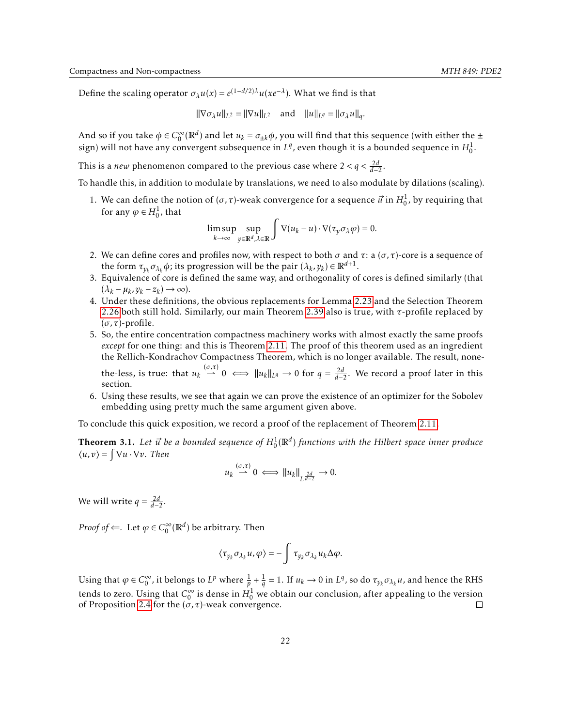Define the scaling operator  $σλu(x) = e^{(1-d/2)λ}u(xe^{-λ})$ . What we find is that

$$
\|\nabla \sigma_{\lambda} u\|_{L^2} = \|\nabla u\|_{L^2}
$$
 and  $\|u\|_{L^q} = \|\sigma_{\lambda} u\|_{q}$ .

And so if you take  $\phi \in C_0^{\infty}$  $\int_0^\infty (\mathbb{R}^d)$  and let  $u_k = \sigma_{\pm k} \phi$ , you will find that this sequence (with either the  $\pm$ sign) will not have any convergent subsequence in  $L^q$ , even though it is a bounded sequence in  $H_0^1$ .

This is a *new* phenomenon compared to the previous case where  $2 < q < \frac{2d}{d-2}$ .

To handle this, in addition to modulate by translations, we need to also modulate by dilations (scaling).

1. We can define the notion of  $(\sigma, \tau)$ -weak convergence for a sequence  $\vec{u}$  in  $H_0^1$ , by requiring that for any  $\varphi \in H^1_0$ , that

$$
\limsup_{k \to \infty} \sup_{y \in \mathbb{R}^d, \lambda \in \mathbb{R}} \int \nabla(u_k - u) \cdot \nabla(\tau_y \sigma_\lambda \varphi) = 0.
$$

- 2. We can define cores and profiles now, with respect to both *σ* and *τ*: a (*σ,τ*)-core is a sequence of the form  $\tau_{y_k} \sigma_{\lambda_k} \phi$ ; its progression will be the pair  $(\lambda_k, y_k) \in \mathbb{R}^{d+1}$ .
- 3. Equivalence of core is defined the same way, and orthogonality of cores is defined similarly (that  $(\lambda_k - \mu_k, y_k - z_k) \to \infty$ ).
- 4. Under these definitions, the obvious replacements for Lemma [2.23](#page-10-3) and the Selection Theorem [2.26](#page-12-0) both still hold. Similarly, our main Theorem [2.39](#page-16-1) also is true, with *τ*-profile replaced by (*σ,τ*)-profile.
- 5. So, the entire concentration compactness machinery works with almost exactly the same proofs *except* for one thing: and this is Theorem [2.11.](#page-7-0) The proof of this theorem used as an ingredient the Rellich-Kondrachov Compactness Theorem, which is no longer available. The result, nonethe-less, is true: that  $u_k \stackrel{(\sigma,\tau)}{\longrightarrow} 0 \iff ||u_k||_{L^q} \to 0$  for  $q = \frac{2d}{d-2}$ . We record a proof later in this section.
- 6. Using these results, we see that again we can prove the existence of an optimizer for the Sobolev embedding using pretty much the same argument given above.

To conclude this quick exposition, we record a proof of the replacement of Theorem [2.11.](#page-7-0)

**Theorem 3.1.** Let  $\vec{u}$  be a bounded sequence of  $H_0^1(\mathbb{R}^d)$  functions with the Hilbert space inner produce  $\langle u, v \rangle = \int \nabla u \cdot \nabla v$ . Then

$$
u_k \stackrel{(\sigma,\tau)}{\rightharpoonup} 0 \iff \|u_k\|_{L^{\frac{2d}{d-2}}} \to 0.
$$

We will write  $q = \frac{2d}{d-2}$ .

*Proof of*  $\Leftarrow$ *.* Let  $\varphi \in C_0^\infty$  $_{0}^{\infty}(\mathbb{R}^{d})$  be arbitrary. Then

$$
\langle \tau_{y_k} \sigma_{\lambda_k} u, \varphi \rangle = - \int \tau_{y_k} \sigma_{\lambda_k} u_k \Delta \varphi.
$$

Using that  $\varphi \in C_0^{\infty}$  $\int_0^\infty$ , it belongs to  $L^p$  where  $\frac{1}{p} + \frac{1}{q} = 1$ . If  $u_k \to 0$  in  $L^q$ , so do  $\tau_{y_k} \sigma_{\lambda_k} u$ , and hence the RHS tends to zero. Using that *C* ∞  $_0^\infty$  is dense in  $H_0^1$  we obtain our conclusion, after appealing to the version of Proposition [2.4](#page-5-3) for the  $(\sigma, \tau)$ -weak convergence.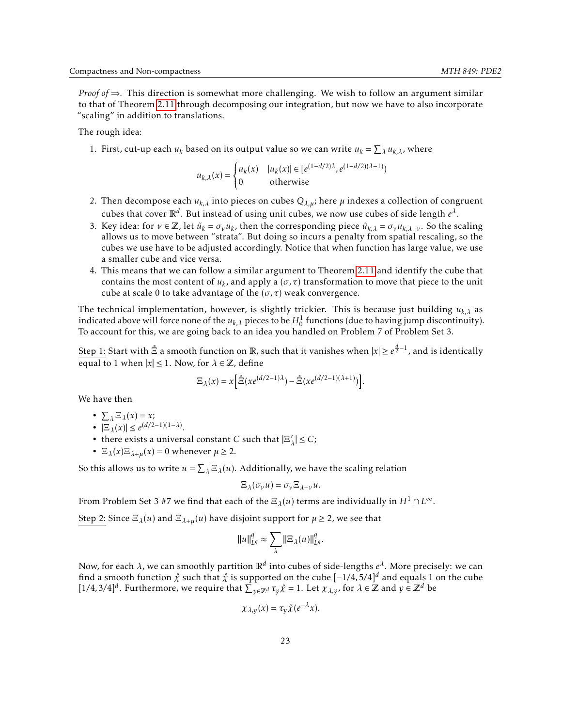*Proof of* ⇒*.* This direction is somewhat more challenging. We wish to follow an argument similar to that of Theorem [2.11](#page-7-0) through decomposing our integration, but now we have to also incorporate "scaling" in addition to translations.

The rough idea:

1. First, cut-up each  $u_k$  based on its output value so we can write  $u_k = \sum_{\lambda} u_{k,\lambda}$ , where

$$
u_{k,\lambda}(x) = \begin{cases} u_k(x) & |u_k(x)| \in [e^{(1-d/2)\lambda}, e^{(1-d/2)(\lambda-1)})\\ 0 & \text{otherwise} \end{cases}
$$

- 2. Then decompose each  $u_{k,\lambda}$  into pieces on cubes  $Q_{\lambda,\mu}$ ; here  $\mu$  indexes a collection of congruent cubes that cover  $\mathbb{R}^d$ . But instead of using unit cubes, we now use cubes of side length  $e^{\lambda}$ .
- 3. Key idea: for  $v \in \mathbb{Z}$ , let  $\tilde{u}_k = \sigma_v u_k$ , then the corresponding piece  $\tilde{u}_{k,\lambda} = \sigma_v u_{k,\lambda-v}$ . So the scaling allows us to move between "strata". But doing so incurs a penalty from spatial rescaling, so the cubes we use have to be adjusted accordingly. Notice that when function has large value, we use a smaller cube and vice versa.
- 4. This means that we can follow a similar argument to Theorem [2.11](#page-7-0) and identify the cube that contains the most content of  $u_k$ , and apply a  $(\sigma, \tau)$  transformation to move that piece to the unit cube at scale 0 to take advantage of the  $(\sigma, \tau)$  weak convergence.

The technical implementation, however, is slightly trickier. This is because just building *uk,λ* as indicated above will force none of the  $u_{k,\lambda}$  pieces to be  $H^1_0$  functions (due to having jump discontinuity). To account for this, we are going back to an idea you handled on Problem 7 of Problem Set 3.

Step 1: Start with  $\mathring{\Xi}$  a smooth function on  $\mathbb R$ , such that it vanishes when  $|x|\ge e^{\frac{d}{2}-1}$ , and is identically equal to 1 when  $|x| \le 1$ . Now, for  $\lambda \in \mathbb{Z}$ , define

$$
\Xi_{\lambda}(x) = x \left[ \mathring{\Xi}(xe^{(d/2-1)\lambda}) - \mathring{\Xi}(xe^{(d/2-1)(\lambda+1)}) \right].
$$

We have then

- $\sum_{\lambda} \Xi_{\lambda}(x) = x;$
- $|\Xi_{\lambda}(x)|$  ≤  $e^{(d/2-1)(1-\lambda)}$ .
- there exists a universal constant *C* such that  $|\Xi\rangle$  $\vert \lambda \vert \leq C$ ;
- $\Xi_{\lambda}(x)\Xi_{\lambda+\mu}(x) = 0$  whenever  $\mu \geq 2$ .

So this allows us to write  $u = \sum_{\lambda} \Xi_{\lambda}(u)$ . Additionally, we have the scaling relation

$$
\Xi_{\lambda}(\sigma_{\nu}u)=\sigma_{\nu}\Xi_{\lambda-\nu}u.
$$

From Problem Set 3 #7 we find that each of the  $\Xi_\lambda(u)$  terms are individually in  $H^1\cap L^\infty$ .

Step 2: Since  $\Xi_{\lambda}(u)$  and  $\Xi_{\lambda+\mu}(u)$  have disjoint support for  $\mu \geq 2$ , we see that

$$
||u||_{L^q}^q \approx \sum_{\lambda} ||\Xi_{\lambda}(u)||_{L^q}^q
$$

Now, for each *λ*, we can smoothly partition R*<sup>d</sup>* into cubes of side-lengths *e λ* . More precisely: we can find a smooth function  $\hat{\chi}$  such that  $\hat{\chi}$  is supported on the cube  $[-1/4,5/4]^d$  and equals 1 on the cube  $[1/4,3/4]$ <sup>*d*</sup>. Furthermore, we require that  $\sum_{y \in \mathbb{Z}^d} \tau_y \hat{\chi} = 1$ . Let  $\chi_{\lambda,y}$ , for  $\lambda \in \mathbb{Z}$  and  $y \in \mathbb{Z}^d$  be

$$
\chi_{\lambda,\nu}(x) = \tau_{\nu} \mathring{\chi}(e^{-\lambda}x).
$$